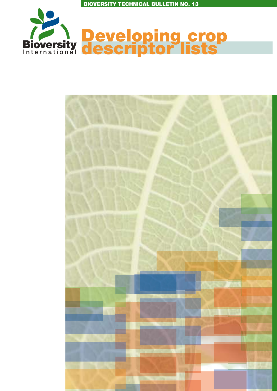



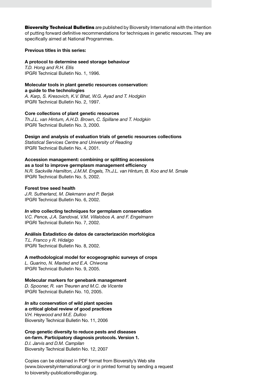**Bioversity Technical Bulletins** are published by Bioversity International with the intention of putting forward definitive recommendations for techniques in genetic resources. They are specifically aimed at National Programmes.

#### Previous titles in this series:

A protocol to determine seed storage behaviour

*T.D. Hong and R.H. Ellis* IPGRI Technical Bulletin No. 1, 1996.

#### Molecular tools in plant genetic resources conservation: a guide to the technologies

*A. Karp, S. Kresovich, K.V. Bhat, W.G. Ayad and T. Hodgkin* IPGRI Technical Bulletin No. 2, 1997.

#### Core collections of plant genetic resources

*Th.J.L. van Hintum, A.H.D. Brown, C. Spillane and T. Hodgkin* IPGRI Technical Bulletin No. 3, 2000.

Design and analysis of evaluation trials of genetic resources collections *Statistical Services Centre and University of Reading*

IPGRI Technical Bulletin No. 4, 2001.

Accession management: combining or splitting accessions as a tool to improve germplasm management efficiency *N.R. Sackville Hamilton, J.M.M. Engels, Th.J.L. van Hintum, B. Koo and M. Smale* IPGRI Technical Bulletin No. 5, 2002.

#### Forest tree seed health

*J.R. Sutherland, M. Diekmann and P. Berjak* IPGRI Technical Bulletin No. 6, 2002.

#### *In vitro* collecting techniques for germplasm conservation

*V.C. Pence, J.A. Sandoval, V.M. Villalobos A. and F. Engelmann* IPGRI Technical Bulletin No. 7, 2002.

#### Análisis Estadístico de datos de caracterización morfológica

*T.L. Franco y R. Hidalgo* IPGRI Technical Bulletin No. 8, 2002.

A methodological model for ecogeographic surveys of crops *L. Guarino, N. Maxted and E.A. Chiwona* IPGRI Technical Bulletin No. 9, 2005.

#### Molecular markers for genebank management

*D. Spooner, R. van Treuren and M.C. de Vicente* IPGRI Technical Bulletin No. 10, 2005.

#### *In situ* conservation of wild plant species

a critical global review of good practices *V.H. Heywood and M.E. Dulloo* Bioversity Technical Bulletin No. 11, 2006

Crop genetic diversity to reduce pests and diseases on-farm. Participatory diagnosis protocols. Version 1. *D.I. Jarvis and D.M. Campilan* Bioversity Technical Bulletin No. 12, 2007

Copies can be obtained in PDF format from Bioversity's Web site (www.bioversityinternational.org) or in printed format by sending a request to bioversity-publications@cgiar.org.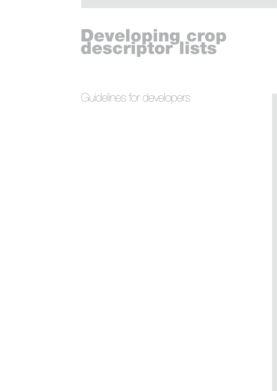# Developing crop descriptor lists

Guidelines for developers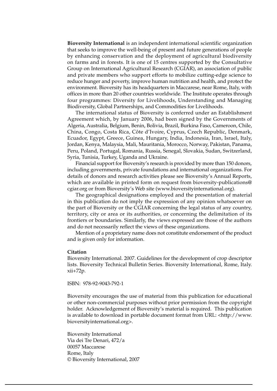**Bioversity International** is an independent international scientific organization that seeks to improve the well-being of present and future generations of people by enhancing conservation and the deployment of agricultural biodiversity on farms and in forests. It is one of 15 centres supported by the Consultative Group on International Agricultural Research (CGIAR), an association of public and private members who support efforts to mobilize cutting-edge science to reduce hunger and poverty, improve human nutrition and health, and protect the environment. Bioversity has its headquarters in Maccarese, near Rome, Italy, with offices in more than 20 other countries worldwide. The Institute operates through four programmes: Diversity for Livelihoods, Understanding and Managing Biodiversity, Global Partnerships, and Commodities for Livelihoods.

The international status of Bioversity is conferred under an Establishment Agreement which, by January 2006, had been signed by the Governments of Algeria, Australia, Belgium, Benin, Bolivia, Brazil, Burkina Faso, Cameroon, Chile, China, Congo, Costa Rica, Côte d'Ivoire, Cyprus, Czech Republic, Denmark, Ecuador, Egypt, Greece, Guinea, Hungary, India, Indonesia, Iran, Israel, Italy, Jordan, Kenya, Malaysia, Mali, Mauritania, Morocco, Norway, Pakistan, Panama, Peru, Poland, Portugal, Romania, Russia, Senegal, Slovakia, Sudan, Switzerland, Syria, Tunisia, Turkey, Uganda and Ukraine.

Financial support for Bioversity's research is provided by more than 150 donors, including governments, private foundations and international organizations. For details of donors and research activities please see Bioversity's Annual Reports, which are available in printed form on request from bioversity-publications@ cgiar.org or from Bioversity's Web site (www.bioversityinternational.org).

The geographical designations employed and the presentation of material in this publication do not imply the expression of any opinion whatsoever on the part of Bioversity or the CGIAR concerning the legal status of any country, territory, city or area or its authorities, or concerning the delimitation of its frontiers or boundaries. Similarly, the views expressed are those of the authors and do not necessarily reflect the views of these organizations.

Mention of a proprietary name does not constitute endorsement of the product and is given only for information.

#### **Citation**

Bioversity International. 2007. Guidelines for the development of crop descriptor lists. Bioversity Technical Bulletin Series. Bioversity International, Rome, Italy. xii+72p.

ISBN: 978-92-9043-792-1

Bioversity encourages the use of material from this publication for educational or other non-commercial purposes without prior permission from the copyright holder. Acknowledgement of Bioversity's material is required. This publication is available to download in portable document format from URL: <http://www. bioversityinternational.org>.

Bioversity International Via dei Tre Denari, 472/a 00057 Maccarese Rome, Italy © Bioversity International, 2007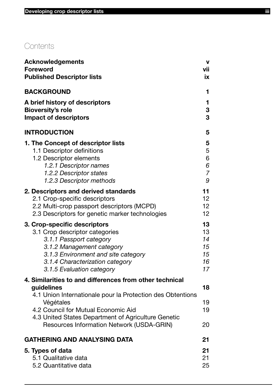# **Contents**

| <b>Acknowledgements</b>                                                                                                                                                                                            | v              |
|--------------------------------------------------------------------------------------------------------------------------------------------------------------------------------------------------------------------|----------------|
| <b>Foreword</b>                                                                                                                                                                                                    | vii            |
| <b>Published Descriptor lists</b>                                                                                                                                                                                  | ix             |
| <b>BACKGROUND</b>                                                                                                                                                                                                  | 1              |
| A brief history of descriptors                                                                                                                                                                                     | 1              |
| <b>Bioversity's role</b>                                                                                                                                                                                           | 3              |
| <b>Impact of descriptors</b>                                                                                                                                                                                       | 3              |
| <b>INTRODUCTION</b>                                                                                                                                                                                                | 5              |
| 1. The Concept of descriptor lists                                                                                                                                                                                 | 5              |
| 1.1 Descriptor definitions                                                                                                                                                                                         | 5              |
| 1.2 Descriptor elements                                                                                                                                                                                            | 6              |
| 1.2.1 Descriptor names                                                                                                                                                                                             | 6              |
| 1.2.2 Descriptor states                                                                                                                                                                                            | $\overline{7}$ |
| 1.2.3 Descriptor methods                                                                                                                                                                                           | 9              |
| 2. Descriptors and derived standards                                                                                                                                                                               | 11             |
| 2.1 Crop-specific descriptors                                                                                                                                                                                      | 12             |
| 2.2 Multi-crop passport descriptors (MCPD)                                                                                                                                                                         | 12             |
| 2.3 Descriptors for genetic marker technologies                                                                                                                                                                    | 12             |
| 3. Crop-specific descriptors                                                                                                                                                                                       | 13             |
| 3.1 Crop descriptor categories                                                                                                                                                                                     | 13             |
| 3.1.1 Passport category                                                                                                                                                                                            | 14             |
| 3.1.2 Management category                                                                                                                                                                                          | 15             |
| 3.1.3 Environment and site category                                                                                                                                                                                | 15             |
| 3.1.4 Characterization category                                                                                                                                                                                    | 16             |
| 3.1.5 Evaluation category                                                                                                                                                                                          | 17             |
| 4. Similarities to and differences from other technical<br>guidelines                                                                                                                                              | 18             |
| 4.1 Union Internationale pour la Protection des Obtentions<br>Végétales<br>4.2 Council for Mutual Economic Aid<br>4.3 United States Department of Agriculture Genetic<br>Resources Information Network (USDA-GRIN) | 19<br>19<br>20 |
| <b>GATHERING AND ANALYSING DATA</b>                                                                                                                                                                                | 21             |
| 5. Types of data                                                                                                                                                                                                   | 21             |
| 5.1 Qualitative data                                                                                                                                                                                               | 21             |
| 5.2 Quantitative data                                                                                                                                                                                              | 25             |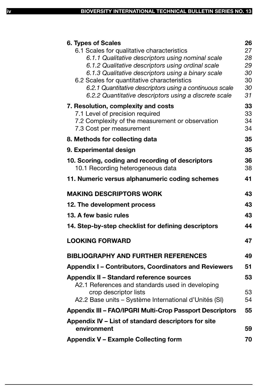| 6. Types of Scales                                              | 26 |
|-----------------------------------------------------------------|----|
| 6.1 Scales for qualitative characteristics                      | 27 |
| 6.1.1 Qualitative descriptors using nominal scale               | 28 |
| 6.1.2 Qualitative descriptors using ordinal scale               | 29 |
| 6.1.3 Qualitative descriptors using a binary scale              | 30 |
| 6.2 Scales for quantitative characteristics                     | 30 |
| 6.2.1 Quantitative descriptors using a continuous scale         | 30 |
| 6.2.2 Quantitative descriptors using a discrete scale           | 31 |
| 7. Resolution, complexity and costs                             | 33 |
| 7.1 Level of precision required                                 | 33 |
| 7.2 Complexity of the measurement or observation                | 34 |
| 7.3 Cost per measurement                                        | 34 |
| 8. Methods for collecting data                                  | 35 |
| 9. Experimental design                                          | 35 |
| 10. Scoring, coding and recording of descriptors                | 36 |
| 10.1 Recording heterogeneous data                               | 38 |
| 11. Numeric versus alphanumeric coding schemes                  | 41 |
| <b>MAKING DESCRIPTORS WORK</b>                                  | 43 |
| 12. The development process                                     | 43 |
| 13. A few basic rules                                           | 43 |
| 14. Step-by-step checklist for defining descriptors             | 44 |
|                                                                 |    |
| <b>LOOKING FORWARD</b>                                          | 47 |
| <b>BIBLIOGRAPHY AND FURTHER REFERENCES</b>                      | 49 |
| <b>Appendix I-Contributors, Coordinators and Reviewers</b>      | 51 |
| <b>Appendix II - Standard reference sources</b>                 | 53 |
| A2.1 References and standards used in developing                |    |
| crop descriptor lists                                           | 53 |
| A2.2 Base units - Système International d'Unités (SI)           | 54 |
| <b>Appendix III - FAO/IPGRI Multi-Crop Passport Descriptors</b> | 55 |
| Appendix IV - List of standard descriptors for site             |    |
| environment                                                     | 59 |
| Appendix V – Example Collecting form                            | 70 |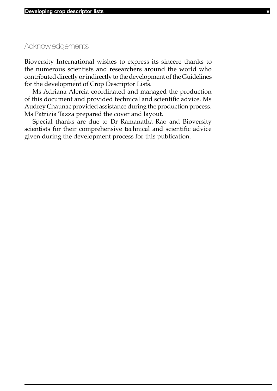# Acknowledgements

Bioversity International wishes to express its sincere thanks to the numerous scientists and researchers around the world who contributed directly or indirectly to the development of the Guidelines for the development of Crop Descriptor Lists.

Ms Adriana Alercia coordinated and managed the production of this document and provided technical and scientific advice. Ms Audrey Chaunac provided assistance during the production process. Ms Patrizia Tazza prepared the cover and layout.

Special thanks are due to Dr Ramanatha Rao and Bioversity scientists for their comprehensive technical and scientific advice given during the development process for this publication.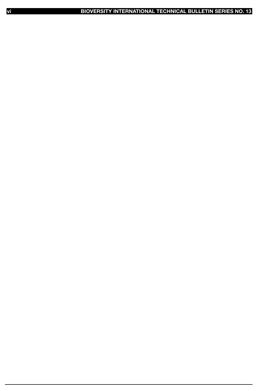# vi Bioversity International Technical Bulletin Series NO. 13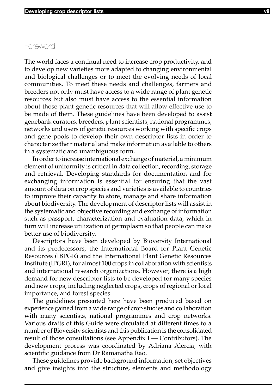# Foreword

The world faces a continual need to increase crop productivity, and to develop new varieties more adapted to changing environmental and biological challenges or to meet the evolving needs of local communities. To meet these needs and challenges, farmers and breeders not only must have access to a wide range of plant genetic resources but also must have access to the essential information about those plant genetic resources that will allow effective use to be made of them. These guidelines have been developed to assist genebank curators, breeders, plant scientists, national programmes, networks and users of genetic resources working with specific crops and gene pools to develop their own descriptor lists in order to characterize their material and make information available to others in a systematic and unambiguous form.

In order to increase international exchange of material, a minimum element of uniformity is critical in data collection, recording, storage and retrieval. Developing standards for documentation and for exchanging information is essential for ensuring that the vast amount of data on crop species and varieties is available to countries to improve their capacity to store, manage and share information about biodiversity. The development of descriptor lists will assist in the systematic and objective recording and exchange of information such as passport, characterization and evaluation data, which in turn will increase utilization of germplasm so that people can make better use of biodiversity.

Descriptors have been developed by Bioversity International and its predecessors, the International Board for Plant Genetic Resources (IBPGR) and the International Plant Genetic Resources Institute (IPGRI), for almost 100 crops in collaboration with scientists and international research organizations. However, there is a high demand for new descriptor lists to be developed for many species and new crops, including neglected crops, crops of regional or local importance, and forest species.

The guidelines presented here have been produced based on experience gained from a wide range of crop studies and collaboration with many scientists, national programmes and crop networks. Various drafts of this Guide were circulated at different times to a number of Bioversity scientists and this publication is the consolidated result of those consultations (see Appendix I — Contributors). The development process was coordinated by Adriana Alercia, with scientific guidance from Dr Ramanatha Rao.

These guidelines provide background information, set objectives and give insights into the structure, elements and methodology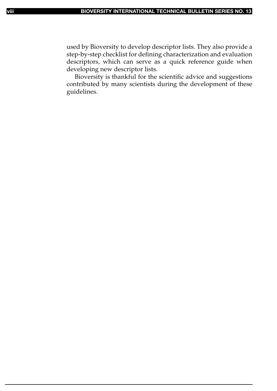used by Bioversity to develop descriptor lists. They also provide a step-by-step checklist for defining characterization and evaluation descriptors, which can serve as a quick reference guide when developing new descriptor lists.

Bioversity is thankful for the scientific advice and suggestions contributed by many scientists during the development of these guidelines.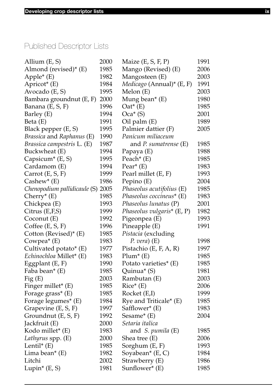# Published Descriptor Lists

| Allium $(E, S)$                         | 2000 | Maize $(E, S, F, P)$              | 1991 |
|-----------------------------------------|------|-----------------------------------|------|
| Almond (revised)* (E)                   | 1985 | Mango (Revised) (E)               | 2006 |
| Apple $*(E)$                            | 1982 | Mangosteen (E)                    | 2003 |
| Apricot <sup>*</sup> $(E)$              | 1984 | Medicago (Annual)* (E, F)         | 1991 |
| Avocado (E, S)                          | 1995 | Melon $(E)$                       | 2003 |
| Bambara groundnut (E, F)                | 2000 | Mung bean <sup>*</sup> (E)        | 1980 |
| Banana (E, S, F)                        | 1996 | $\text{Out}^*(E)$                 | 1985 |
| Barley (E)                              | 1994 | $Oca*(S)$                         | 2001 |
| Beta (E)                                | 1991 | Oil palm (E)                      | 1989 |
| Black pepper $(E, S)$                   | 1995 | Palmier dattier (F)               | 2005 |
| <i>Brassica</i> and <i>Raphanus</i> (E) | 1990 | Panicum miliaceum                 |      |
| Brassica campestris L. (E)              | 1987 | and P. sumatrense (E)             | 1985 |
| Buckwheat (E)                           | 1994 | Papaya (E)                        | 1988 |
| Capsicum <sup>*</sup> (E, S)            | 1995 | Peach <sup>*</sup> $(E)$          | 1985 |
| Cardamom (E)                            | 1994 | Pear $*$ $(E)$                    | 1983 |
| Carrot $(E, S, F)$                      | 1999 | Pearl millet (E, F)               | 1993 |
| Cashew <sup>*</sup> $(E)$               | 1986 | Pepino (E)                        | 2004 |
| Chenopodium pallidicaule (S)            | 2005 | Phaseolus acutifolius (E)         | 1985 |
| Cherry <sup>*</sup> $(E)$               | 1985 | Phaseolus coccineus* $(E)$        | 1983 |
| Chickpea (E)                            | 1993 | Phaseolus lunatus (P)             | 2001 |
| Citrus(E,F,S)                           | 1999 | Phaseolus vulgaris* $(E, P)$      | 1982 |
| Coconut(E)                              | 1992 | Pigeonpea (E)                     | 1993 |
| Coffee $(E, S, F)$                      | 1996 | Pineapple (E)                     | 1991 |
| Cotton (Revised) $*(E)$                 | 1985 | Pistacia (excluding               |      |
| Cowpea $*(E)$                           | 1983 | $P.$ vera $(E)$                   | 1998 |
| Cultivated potato $*$ (E)               | 1977 | Pistachio (E, F, A, R)            | 1997 |
| <i>Echinochloa Millet*</i> (E)          | 1983 | $Plum^*(E)$                       | 1985 |
| Eggplant $(E, F)$                       | 1990 | Potato varieties <sup>*</sup> (E) | 1985 |
| Faba bean <sup>*</sup> (E)              | 1985 | Quinua <sup>*</sup> (S)           | 1981 |
| Fig (E)                                 | 2003 | Rambutan (E)                      | 2003 |
| Finger millet <sup>*</sup> $(E)$        | 1985 | $Rice^*(E)$                       | 2006 |
| Forage grass $*(E)$                     | 1985 | Rocket (E,I)                      | 1999 |
| Forage legumes <sup>*</sup> (E)         | 1984 | Rye and Triticale $*$ (E)         | 1985 |
| Grapevine (E, S, F)                     | 1997 | Safflower <sup>*</sup> (E)        | 1983 |
| Groundnut (E, S, F)                     | 1992 | Sesame $*(E)$                     | 2004 |
| Jackfruit (E)                           | 2000 | Setaria italica                   |      |
| Kodo millet* (E)                        | 1983 | and $S.$ pumila $(E)$             | 1985 |
| Lathyrus spp. (E)                       | 2000 | Shea tree $(E)$                   | 2006 |
| Lentil <sup>*</sup> $(E)$               | 1985 | Sorghum (E, F)                    | 1993 |
| Lima bean $*$ (E)                       | 1982 | Soyabean* (E, C)                  | 1984 |
| Litchi                                  | 2002 | Strawberry (E)                    | 1986 |
| Lupin* (E, S)                           | 1981 | Sunflower* (E)                    | 1985 |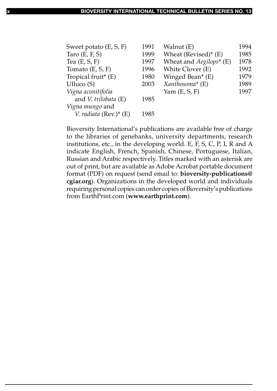| 1994 |
|------|
| 1985 |
| 1978 |
| 1992 |
| 1979 |
| 1989 |
| 1997 |
|      |
|      |
|      |
|      |

Bioversity International's publications are available free of charge to the libraries of genebanks, university departments, research institutions, etc., in the developing world. E, F, S, C, P, I, R and A indicate English, French, Spanish, Chinese, Portuguese, Italian, Russian and Arabic respectively. Titles marked with an asterisk are out of print, but are available as Adobe Acrobat portable document format (PDF) on request (send email to: **bioversity-publications@ cgiar.org**). Organizations in the developed world and individuals requiring personal copies can order copies of Bioversity's publications from EarthPrint.com (**www.earthprint.com**).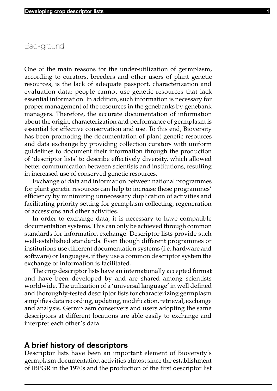# **Background**

One of the main reasons for the under-utilization of germplasm, according to curators, breeders and other users of plant genetic resources, is the lack of adequate passport, characterization and evaluation data: people cannot use genetic resources that lack essential information. In addition, such information is necessary for proper management of the resources in the genebanks by genebank managers. Therefore, the accurate documentation of information about the origin, characterization and performance of germplasm is essential for effective conservation and use. To this end, Bioversity has been promoting the documentation of plant genetic resources and data exchange by providing collection curators with uniform guidelines to document their information through the production of 'descriptor lists' to describe effectively diversity, which allowed better communication between scientists and institutions, resulting in increased use of conserved genetic resources.

Exchange of data and information between national programmes for plant genetic resources can help to increase these programmes' efficiency by minimizing unnecessary duplication of activities and facilitating priority setting for germplasm collecting, regeneration of accessions and other activities.

In order to exchange data, it is necessary to have compatible documentation systems. This can only be achieved through common standards for information exchange. Descriptor lists provide such well-established standards. Even though different programmes or institutions use different documentation systems (i.e. hardware and software) or languages, if they use a common descriptor system the exchange of information is facilitated.

The crop descriptor lists have an internationally accepted format and have been developed by and are shared among scientists worldwide. The utilization of a 'universal language' in well defined and thoroughly-tested descriptor lists for characterizing germplasm simplifies data recording, updating, modification, retrieval, exchange and analysis. Germplasm conservers and users adopting the same descriptors at different locations are able easily to exchange and interpret each other's data.

#### A brief history of descriptors

Descriptor lists have been an important element of Bioversity's germplasm documentation activities almost since the establishment of IBPGR in the 1970s and the production of the first descriptor list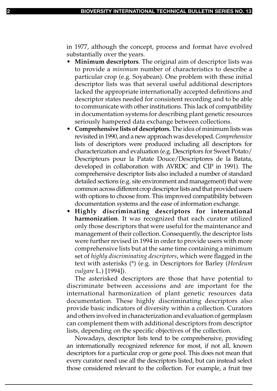in 1977, although the concept, process and format have evolved substantially over the years. • **Minimum descriptors**. The original aim of descriptor lists was

- to provide a *minimum* number of characteristics to describe a particular crop (e.g. Soyabean). One problem with these initial descriptor lists was that several useful additional descriptors lacked the appropriate internationally accepted definitions and descriptor states needed for consistent recording and to be able to communicate with other institutions. This lack of compatibility in documentation systems for describing plant genetic resources seriously hampered data exchange between collections.
- **Comprehensive lists of descriptors.** The idea of minimum lists was revisited in 1990, and a new approach was developed. *Comprehensive* lists of descriptors were produced including all descriptors for characterization and evaluation (e.g. Descriptors for Sweet Potato/ Descripteurs pour la Patate Douce/Descriptores de la Batata, developed in collaboration with AVRDC and CIP in 1991). The comprehensive descriptor lists also included a number of standard detailed sections (e.g. site environment and management) that were common across different crop descriptor lists and that provided users with options to choose from. This improved compatibility between documentation systems and the ease of information exchange.
- **Highly discriminating descriptors for international harmonization**. It was recognized that each curator utilized only those descriptors that were useful for the maintenance and management of their collection. Consequently, the descriptor lists were further revised in 1994 in order to provide users with more comprehensive lists but at the same time containing a minimum set of *highly discriminating descriptors*, which were flagged in the text with asterisks (\*) (e.g. in Descriptors for Barley (*Hordeum vulgare* L.) [1994]).

The asterisked descriptors are those that have potential to discriminate between accessions and are important for the international harmonization of plant genetic resources data documentation. These highly discriminating descriptors also provide basic indicators of diversity within a collection. Curators and others involved in characterization and evaluation of germplasm can complement them with additional descriptors from descriptor lists, depending on the specific objectives of the collection.

Nowadays, descriptor lists tend to be comprehensive, providing an internationally recognized reference for most, if not all, known descriptors for a particular crop or gene pool. This does not mean that every curator need use all the descriptors listed, but can instead select those considered relevant to the collection. For example, a fruit tree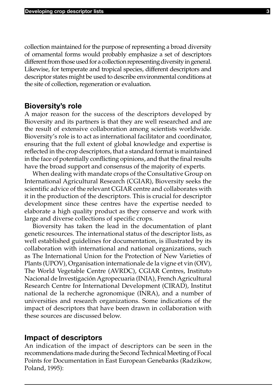collection maintained for the purpose of representing a broad diversity of ornamental forms would probably emphasize a set of descriptors different from those used for a collection representing diversity in general. Likewise, for temperate and tropical species, different descriptors and descriptor states might be used to describe environmental conditions at the site of collection, regeneration or evaluation.

# Bioversity's role

A major reason for the success of the descriptors developed by Bioversity and its partners is that they are well researched and are the result of extensive collaboration among scientists worldwide. Bioversity's role is to act as international facilitator and coordinator, ensuring that the full extent of global knowledge and expertise is reflected in the crop descriptors, that a standard format is maintained in the face of potentially conflicting opinions, and that the final results have the broad support and consensus of the majority of experts.

When dealing with mandate crops of the Consultative Group on International Agricultural Research (CGIAR), Bioversity seeks the scientific advice of the relevant CGIAR centre and collaborates with it in the production of the descriptors. This is crucial for descriptor development since these centres have the expertise needed to elaborate a high quality product as they conserve and work with large and diverse collections of specific crops.

Bioversity has taken the lead in the documentation of plant genetic resources. The international status of the descriptor lists, as well established guidelines for documentation, is illustrated by its collaboration with international and national organizations, such as The International Union for the Protection of New Varieties of Plants (UPOV), Organisation internationale de la vigne et vin (OIV), The World Vegetable Centre (AVRDC), CGIAR Centres, Instituto Nacional de Investigación Agropecuaria (INIA), French Agricultural Research Centre for International Development (CIRAD), Institut national de la recherche agronomique (INRA), and a number of universities and research organizations. Some indications of the impact of descriptors that have been drawn in collaboration with these sources are discussed below.

#### Impact of descriptors

An indication of the impact of descriptors can be seen in the recommendations made during the Second Technical Meeting of Focal Points for Documentation in East European Genebanks (Radzikow, Poland, 1995):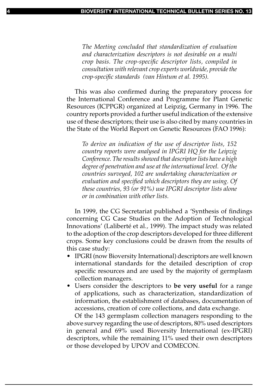*The Meeting concluded that standardization of evaluation and characterization descriptors is not desirable on a multi crop basis. The crop-specific descriptor lists, compiled in consultation with relevant crop experts worldwide, provide the crop-specific standards (van Hintum et al. 1995).*

This was also confirmed during the preparatory process for the International Conference and Programme for Plant Genetic Resources (ICPPGR) organized at Leipzig, Germany in 1996. The country reports provided a further useful indication of the extensive use of these descriptors; their use is also cited by many countries in the State of the World Report on Genetic Resources (FAO 1996):

*To derive an indication of the use of descriptor lists, 152 country reports were analysed in IPGRI HQ for the Leipzig Conference. The results showed that descriptor lists have a high degree of penetration and use at the international level. Of the countries surveyed, 102 are undertaking characterization or evaluation and specified which descriptors they are using. Of these countries, 93 (or 91%) use IPGRI descriptor lists alone or in combination with other lists.*

In 1999, the CG Secretariat published a 'Synthesis of findings concerning CG Case Studies on the Adoption of Technological Innovations' (Laliberté et al*.,* 1999). The impact study was related to the adoption of the crop descriptors developed for three different crops. Some key conclusions could be drawn from the results of this case study:

- IPGRI (now Bioversity International) descriptors are well known international standards for the detailed description of crop specific resources and are used by the majority of germplasm collection managers.
- Users consider the descriptors to **be very useful** for a range of applications, such as characterization, standardization of information, the establishment of databases, documentation of accessions, creation of core collections, and data exchange.

Of the 143 germplasm collection managers responding to the above survey regarding the use of descriptors, 80% used descriptors in general and 69% used Bioversity International (ex-IPGRI) descriptors, while the remaining 11% used their own descriptors or those developed by UPOV and COMECON.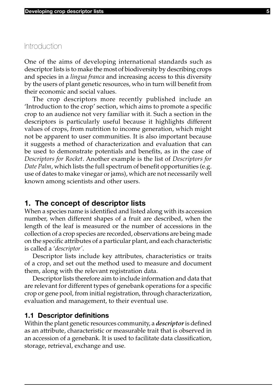#### Introduction

One of the aims of developing international standards such as descriptor lists is to make the most of biodiversity by describing crops and species in a *lingua franca* and increasing access to this diversity by the users of plant genetic resources, who in turn will benefit from their economic and social values.

The crop descriptors more recently published include an 'Introduction to the crop' section, which aims to promote a specific crop to an audience not very familiar with it. Such a section in the descriptors is particularly useful because it highlights different values of crops, from nutrition to income generation, which might not be apparent to user communities. It is also important because it suggests a method of characterization and evaluation that can be used to demonstrate potentials and benefits, as in the case of *Descriptors for Rocket*. Another example is the list of *Descriptors for Date Palm*, which lists the full spectrum of benefit opportunities (e.g. use of dates to make vinegar or jams), which are not necessarily well known among scientists and other users.

#### 1. The concept of descriptor lists

When a species name is identified and listed along with its accession number, when different shapes of a fruit are described, when the length of the leaf is measured or the number of accessions in the collection of a crop species are recorded, observations are being made on the specific attributes of a particular plant, and each characteristic is called a '*descriptor'*.

Descriptor lists include key attributes, characteristics or traits of a crop, and set out the method used to measure and document them, along with the relevant registration data.

Descriptor lists therefore aim to include information and data that are relevant for different types of genebank operations for a specific crop or gene pool, from initial registration, through characterization, evaluation and management, to their eventual use.

#### 1.1 Descriptor definitions

Within the plant genetic resources community, a *descriptor*is defined as an attribute, characteristic or measurable trait that is observed in an accession of a genebank. It is used to facilitate data classification, storage, retrieval, exchange and use.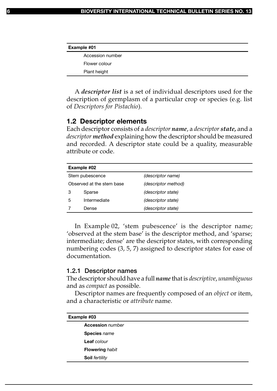| Example #01      |  |  |  |
|------------------|--|--|--|
| Accession number |  |  |  |
| Flower colour    |  |  |  |
| Plant height     |  |  |  |

A *descriptor list* is a set of individual descriptors used for the description of germplasm of a particular crop or species (e.g. list of *Descriptors for Pistachio*).

#### 1.2 Descriptor elements

Each descriptor consists of a *descriptor name*, a *descriptor state,* and a *descriptor method* explaining how the descriptor should be measured and recorded. A descriptor state could be a quality, measurable attribute or code.

| Example #02               |              |                     |  |
|---------------------------|--------------|---------------------|--|
| Stem pubescence           |              | (descriptor name)   |  |
| Observed at the stem base |              | (descriptor method) |  |
| 3                         | Sparse       | (descriptor state)  |  |
| 5                         | Intermediate | (descriptor state)  |  |
|                           | Dense        | (descriptor state)  |  |

In Example 02, 'stem pubescence' is the descriptor name; 'observed at the stem base' is the descriptor method, and 'sparse; intermediate; dense' are the descriptor states, with corresponding numbering codes (3, 5, 7) assigned to descriptor states for ease of documentation.

#### 1.2.1 Descriptor names

The descriptor should have a full *name* that is *descriptive*, *unambiguous* and as *compact* as possible.

Descriptor names are frequently composed of an *object* or item, and a characteristic or *attribute* name.

| Example #03             |  |  |  |
|-------------------------|--|--|--|
| <b>Accession</b> number |  |  |  |
| Species name            |  |  |  |
| Leaf colour             |  |  |  |
| <b>Flowering habit</b>  |  |  |  |
| <b>Soil fertility</b>   |  |  |  |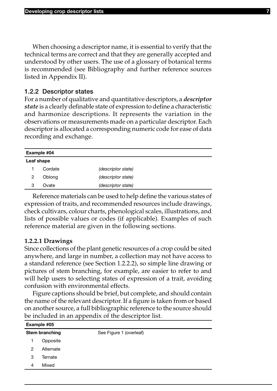When choosing a descriptor name, it is essential to verify that the technical terms are correct and that they are generally accepted and understood by other users. The use of a glossary of botanical terms is recommended (see Bibliography and further reference sources listed in Appendix II).

#### 1.2.2 Descriptor states

For a number of qualitative and quantitative descriptors, a *descriptor state* is a clearly definable state of expression to define a characteristic and harmonize descriptions. It represents the variation in the observations or measurements made on a particular descriptor. Each descriptor is allocated a corresponding numeric code for ease of data recording and exchange.

| Example #04 |         |                    |  |
|-------------|---------|--------------------|--|
| Leaf shape  |         |                    |  |
|             | Cordate | (descriptor state) |  |
| 2           | Oblong  | (descriptor state) |  |
| 3           | Ovate   | (descriptor state) |  |

Reference materials can be used to help define the various states of expression of traits, and recommended resources include drawings, check cultivars, colour charts, phenological scales, illustrations, and lists of possible values or codes (if applicable). Examples of such reference material are given in the following sections.

#### **1.2.2.1 Drawings**

Since collections of the plant genetic resources of a crop could be sited anywhere, and large in number, a collection may not have access to a standard reference (see Section 1.2.2.2), so simple line drawing or pictures of stem branching, for example, are easier to refer to and will help users to selecting states of expression of a trait, avoiding confusion with environmental effects.

Figure captions should be brief, but complete, and should contain the name of the relevant descriptor. If a figure is taken from or based on another source, a full bibliographic reference to the source should be included in an appendix of the descriptor list.

| Example #05 |                |                         |  |  |
|-------------|----------------|-------------------------|--|--|
|             | Stem branching | See Figure 1 (overleaf) |  |  |
|             | Opposite       |                         |  |  |
| 2           | Alternate      |                         |  |  |
| 3           | Ternate        |                         |  |  |
| 4           | Mixed          |                         |  |  |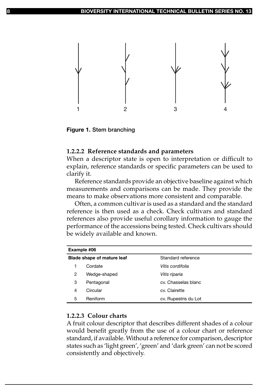

Figure 1. Stem branching

#### **1.2.2.2 Reference standards and parameters**

When a descriptor state is open to interpretation or difficult to explain, reference standards or specific parameters can be used to clarify it.

Reference standards provide an objective baseline against which measurements and comparisons can be made. They provide the means to make observations more consistent and comparable.

Often, a common cultivar is used as a standard and the standard reference is then used as a check. Check cultivars and standard references also provide useful corollary information to gauge the performance of the accessions being tested. Check cultivars should be widely available and known.

| Example #06                |              |                      |  |  |
|----------------------------|--------------|----------------------|--|--|
| Blade shape of mature leaf |              | Standard reference   |  |  |
|                            | Cordate      | Vitis cordifolia     |  |  |
| 2                          | Wedge-shaped | Vitis riparia        |  |  |
| 3                          | Pentagonal   | cy. Chasselas blanc  |  |  |
| 4                          | Circular     | cv. Clairette        |  |  |
| 5                          | Reniform     | cv. Rupestris du Lot |  |  |

#### **1.2.2.3 Colour charts**

A fruit colour descriptor that describes different shades of a colour would benefit greatly from the use of a colour chart or reference standard, if available. Without a reference for comparison, descriptor states such as 'light green', 'green' and 'dark green' can not be scored consistently and objectively.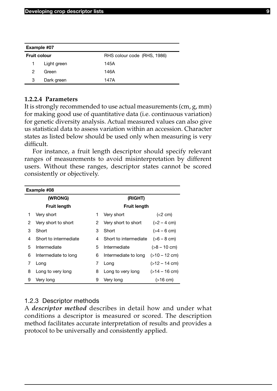| Example #07         |             |                             |  |
|---------------------|-------------|-----------------------------|--|
| <b>Fruit colour</b> |             | RHS colour code (RHS, 1986) |  |
| 1.                  | Light green | 145A                        |  |
| 2                   | Green       | 146A                        |  |
| 3                   | Dark green  | 147A                        |  |

#### **1.2.2.4 Parameters**

It is strongly recommended to use actual measurements (cm, g, mm) for making good use of quantitative data (i.e. continuous variation) for genetic diversity analysis. Actual measured values can also give us statistical data to assess variation within an accession. Character states as listed below should be used only when measuring is very difficult.

For instance, a fruit length descriptor should specify relevant ranges of measurements to avoid misinterpretation by different users. Without these ranges, descriptor states cannot be scored consistently or objectively.

|   | Example #08           |   |                       |                   |  |
|---|-----------------------|---|-----------------------|-------------------|--|
|   | (WRONG)               |   | (RIGHT)               |                   |  |
|   | <b>Fruit length</b>   |   | <b>Fruit length</b>   |                   |  |
| 1 | Very short            | 1 | Very short            | (< 2 cm)          |  |
| 2 | Very short to short   | 2 | Very short to short   | $(>2 - 4$ cm)     |  |
| 3 | Short                 | 3 | Short                 | $( >4 - 6$ cm)    |  |
| 4 | Short to intermediate | 4 | Short to intermediate | $(>6 - 8$ cm)     |  |
| 5 | Intermediate          | 5 | Intermediate          | $(>8 - 10$ cm)    |  |
| 6 | Intermediate to long  | 6 | Intermediate to long  | $(>10 - 12$ cm)   |  |
| 7 | Long                  | 7 | Long                  | $( > 12 - 14$ cm) |  |
| 8 | Long to very long     | 8 | Long to very long     | $( > 14 - 16$ cm) |  |
| 9 | Very long             | 9 | Very long             | $( > 16$ cm)      |  |

#### 1.2.3 Descriptor methods

A *descriptor method* describes in detail how and under what conditions a descriptor is measured or scored. The description method facilitates accurate interpretation of results and provides a protocol to be universally and consistently applied.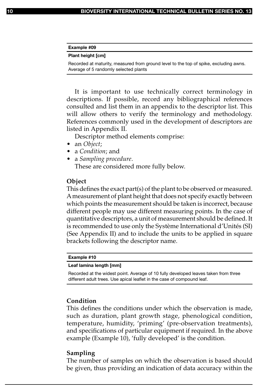#### Example #09

#### Plant height [cm]

It is important to use technically correct terminology in descriptions. If possible, record any bibliographical references consulted and list them in an appendix to the descriptor list. This will allow others to verify the terminology and methodology. References commonly used in the development of descriptors are listed in Appendix II.

Descriptor method elements comprise:

- an *Object*;
- a *Condition*; and
- a *Sampling procedure*. These are considered more fully below.

#### **Object**

This defines the exact part(s) of the plant to be observed or measured. A measurement of plant height that does not specify exactly between which points the measurement should be taken is incorrect, because different people may use different measuring points. In the case of quantitative descriptors, a unit of measurement should be defined. It is recommended to use only the Système International d'Unités (SI) (See Appendix II) and to include the units to be applied in square brackets following the descriptor name.

#### Example #10

#### Leaf lamina length [mm]

Recorded at the widest point. Average of 10 fully developed leaves taken from three different adult trees. Use apical leaflet in the case of compound leaf.

#### **Condition**

This defines the conditions under which the observation is made, such as duration, plant growth stage, phenological condition, temperature, humidity, 'priming' (pre-observation treatments), and specifications of particular equipment if required. In the above example (Example 10), 'fully developed' is the condition.

#### **Sampling**

The number of samples on which the observation is based should be given, thus providing an indication of data accuracy within the

Recorded at maturity, measured from ground level to the top of spike, excluding awns. Average of 5 randomly selected plants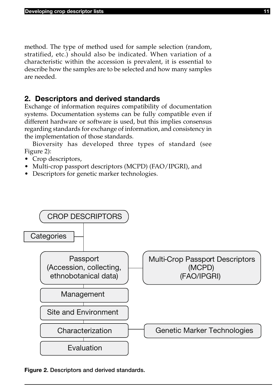method. The type of method used for sample selection (random, stratified, etc.) should also be indicated. When variation of a characteristic within the accession is prevalent, it is essential to describe how the samples are to be selected and how many samples are needed.

# 2. Descriptors and derived standards

Exchange of information requires compatibility of documentation systems. Documentation systems can be fully compatible even if different hardware or software is used, but this implies consensus regarding standards for exchange of information, and consistency in the implementation of those standards.

Bioversity has developed three types of standard (see Figure 2):

- Crop descriptors,
- Multi-crop passport descriptors (MCPD) (FAO/IPGRI), and
- Descriptors for genetic marker technologies.



Figure 2. Descriptors and derived standards.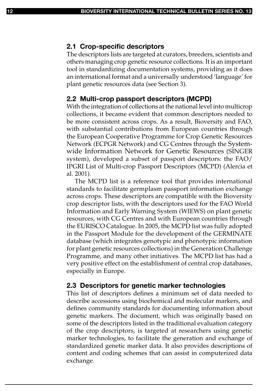#### 2.1 Crop-specific descriptors

The descriptors lists are targeted at curators, breeders, scientists and others managing crop genetic resource collections. It is an important tool in standardizing documentation systems, providing as it does an international format and a universally understood 'language' for plant genetic resources data (see Section 3).

# 2.2 Multi-crop passport descriptors (MCPD)

With the integration of collections at the national level into multicrop collections, it became evident that common descriptors needed to be more consistent across crops. As a result, Bioversity and FAO, with substantial contributions from European countries through the European Cooperative Programme for Crop Genetic Resources Network (ECPGR Network) and CG Centres through the Systemwide Information Network for Genetic Resources (SINGER system), developed a subset of passport descriptors: the FAO/ IPGRI List of Multi-crop Passport Descriptors (MCPD) (Alercia et al. 2001).

The MCPD list is a reference tool that provides international standards to facilitate germplasm passport information exchange across crops. These descriptors are compatible with the Bioversity crop descriptor lists, with the descriptors used for the FAO World Information and Early Warning System (WIEWS) on plant genetic resources, with CG Centres and with European countries through the EURISCO Catalogue. In 2005, the MCPD list was fully adopted in the Passport Module for the development of the GERMINATE database (which integrates genotypic and phenotypic information for plant genetic resources collections) in the Generation Challenge Programme, and many other initiatives. The MCPD list has had a very positive effect on the establishment of central crop databases, especially in Europe.

# 2.3 Descriptors for genetic marker technologies

This list of descriptors defines a minimum set of data needed to describe accessions using biochemical and molecular markers, and defines community standards for documenting information about genetic markers. The document, which was originally based on some of the descriptors listed in the traditional evaluation category of the crop descriptors, is targeted at researchers using genetic marker technologies, to facilitate the generation and exchange of standardized genetic marker data. It also provides descriptions of content and coding schemes that can assist in computerized data exchange.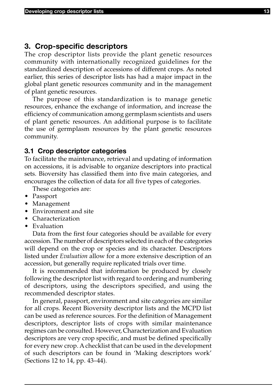# 3. Crop-specific descriptors

The crop descriptor lists provide the plant genetic resources community with internationally recognized guidelines for the standardized description of accessions of different crops. As noted earlier, this series of descriptor lists has had a major impact in the global plant genetic resources community and in the management of plant genetic resources.

The purpose of this standardization is to manage genetic resources, enhance the exchange of information, and increase the efficiency of communication among germplasm scientists and users of plant genetic resources. An additional purpose is to facilitate the use of germplasm resources by the plant genetic resources community.

#### 3.1 Crop descriptor categories

To facilitate the maintenance, retrieval and updating of information on accessions, it is advisable to organize descriptors into practical sets. Bioversity has classified them into five main categories, and encourages the collection of data for all five types of categories.

These categories are:

- Passport
- Management
- Environment and site
- Characterization
- Evaluation

Data from the first four categories should be available for every accession. The number of descriptors selected in each of the categories will depend on the crop or species and its character. Descriptors listed under *Evaluation* allow for a more extensive description of an accession, but generally require replicated trials over time.

It is recommended that information be produced by closely following the descriptor list with regard to ordering and numbering of descriptors, using the descriptors specified, and using the recommended descriptor states.

In general, passport, environment and site categories are similar for all crops. Recent Bioversity descriptor lists and the MCPD list can be used as reference sources. For the definition of Management descriptors, descriptor lists of crops with similar maintenance regimes can be consulted. However, Characterization and Evaluation descriptors are very crop specific, and must be defined specifically for every new crop. A checklist that can be used in the development of such descriptors can be found in 'Making descriptors work' (Sections 12 to 14, pp. 43–44).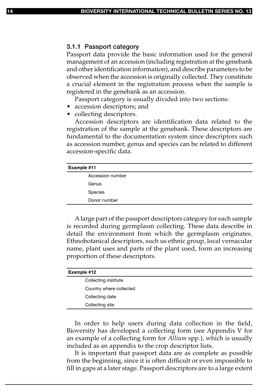#### 3.1.1 Passport category

Passport data provide the basic information used for the general management of an accession (including registration at the genebank and other identification information), and describe parameters to be observed when the accession is originally collected. They constitute a crucial element in the registration process when the sample is registered in the genebank as an accession.

Passport category is usually divided into two sections:

- accession descriptors; and
- collecting descriptors.

Accession descriptors are identification data related to the registration of the sample at the genebank. These descriptors are fundamental to the documentation system since descriptors such as accession number, genus and species can be related to different accession-specific data.

| Example #11      |  |  |
|------------------|--|--|
| Accession number |  |  |
| Genus            |  |  |
| Species          |  |  |
| Donor number     |  |  |

A large part of the passport descriptors category for each sample is recorded during germplasm collecting. These data describe in detail the environment from which the germplasm originates. Ethnobotanical descriptors, such us ethnic group, local vernacular name, plant uses and parts of the plant used, form an increasing proportion of these descriptors.

| Example #12             |  |  |
|-------------------------|--|--|
| Collecting institute    |  |  |
| Country where collected |  |  |
| Collecting date         |  |  |
| Collecting site         |  |  |

In order to help users during data collection in the field, Bioversity has developed a collecting form (see Appendix V for an example of a collecting form for *Allium* spp.), which is usually included as an appendix to the crop descriptor lists.

It is important that passport data are as complete as possible from the beginning, since it is often difficult or even impossible to fill in gaps at a later stage. Passport descriptors are to a large extent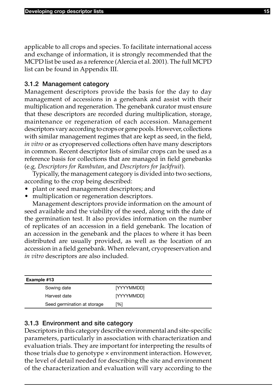applicable to all crops and species. To facilitate international access and exchange of information, it is strongly recommended that the MCPD list be used as a reference (Alercia et al. 2001). The full MCPD list can be found in Appendix III.

#### 3.1.2 Management category

Management descriptors provide the basis for the day to day management of accessions in a genebank and assist with their multiplication and regeneration. The genebank curator must ensure that these descriptors are recorded during multiplication, storage, maintenance or regeneration of each accession. Management descriptors vary according to crops or gene pools. However, collections with similar management regimes that are kept as seed, in the field, *in vitro* or as cryopreserved collections often have many descriptors in common. Recent descriptor lists of similar crops can be used as a reference basis for collections that are managed in field genebanks (e.g. *Descriptors for Rambutan*, and *Descriptors for Jackfruit*).

Typically, the management category is divided into two sections, according to the crop being described:

- plant or seed management descriptors; and
- multiplication or regeneration descriptors.

Management descriptors provide information on the amount of seed available and the viability of the seed, along with the date of the germination test. It also provides information on the number of replicates of an accession in a field genebank. The location of an accession in the genebank and the places to where it has been distributed are usually provided, as well as the location of an accession in a field genebank. When relevant, cryopreservation and *in vitro* descriptors are also included.

| Example #13                 |            |  |  |
|-----------------------------|------------|--|--|
| Sowing date                 | [YYYYMMDD] |  |  |
| Harvest date                | [YYYYMMDD] |  |  |
| Seed germination at storage | [%]        |  |  |

# 3.1.3 Environment and site category

Descriptors in this category describe environmental and site-specific parameters, particularly in association with characterization and evaluation trials. They are important for interpreting the results of those trials due to genotype × environment interaction. However, the level of detail needed for describing the site and environment of the characterization and evaluation will vary according to the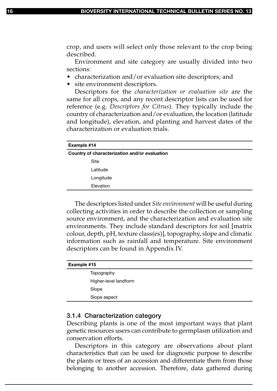crop, and users will select only those relevant to the crop being described.

Environment and site category are usually divided into two sections:

- characterization and/or evaluation site descriptors; and
- site environment descriptors.

Descriptors for the *characterization or evaluation site* are the same for all crops, and any recent descriptor lists can be used for reference (e.g. *Descriptors for Citrus*). They typically include the country of characterization and/or evaluation, the location (latitude and longitude), elevation, and planting and harvest dates of the characterization or evaluation trials.

| Example #14                                   |  |  |
|-----------------------------------------------|--|--|
| Country of characterization and/or evaluation |  |  |
| Site                                          |  |  |
| Latitude                                      |  |  |
| Longitude                                     |  |  |
| Elevation                                     |  |  |
|                                               |  |  |

The descriptors listed under *Site environment* will be useful during collecting activities in order to describe the collection or sampling source environment, and the characterization and evaluation site environments. They include standard descriptors for soil [matrix colour, depth, pH, texture class(es)], topography, slope and climatic information such as rainfall and temperature. Site environment descriptors can be found in Appendix IV.

| Example #15  |                       |
|--------------|-----------------------|
| Topography   |                       |
|              | Higher-level landform |
| Slope        |                       |
| Slope aspect |                       |

#### 3.1.4 Characterization category

Describing plants is one of the most important ways that plant genetic resources users can contribute to germplasm utilization and conservation efforts.

Descriptors in this category are observations about plant characteristics that can be used for diagnostic purpose to describe the plants or trees of an accession and differentiate them from those belonging to another accession. Therefore, data gathered during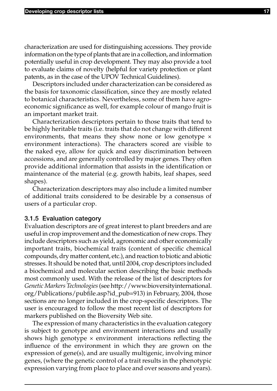characterization are used for distinguishing accessions. They provide information on the type of plants that are in a collection, and information potentially useful in crop development. They may also provide a tool to evaluate claims of novelty (helpful for variety protection or plant patents, as in the case of the UPOV Technical Guidelines).

Descriptors included under characterization can be considered as the basis for taxonomic classification, since they are mostly related to botanical characteristics. Nevertheless, some of them have agroeconomic significance as well, for example colour of mango fruit is an important market trait.

Characterization descriptors pertain to those traits that tend to be highly heritable traits (i.e. traits that do not change with different environments, that means they show none or low genotype  $\times$ environment interactions). The characters scored are visible to the naked eye, allow for quick and easy discrimination between accessions, and are generally controlled by major genes. They often provide additional information that assists in the identification or maintenance of the material (e.g. growth habits, leaf shapes, seed shapes).

Characterization descriptors may also include a limited number of additional traits considered to be desirable by a consensus of users of a particular crop.

#### 3.1.5 Evaluation category

Evaluation descriptors are of great interest to plant breeders and are useful in crop improvement and the domestication of new crops. They include descriptors such as yield, agronomic and other economically important traits, biochemical traits (content of specific chemical compounds, dry matter content, etc.), and reaction to biotic and abiotic stresses. It should be noted that, until 2004, crop descriptors included a biochemical and molecular section describing the basic methods most commonly used. With the release of the list of descriptors for *Genetic Markers Technologies* (see http://www.bioversityinternational. org/Publications/pubfile.asp?id\_pub=913) in February, 2004, those sections are no longer included in the crop-specific descriptors. The user is encouraged to follow the most recent list of descriptors for markers published on the Bioversity Web site.

The expression of many characteristics in the evaluation category is subject to genotype and environment interactions and usually shows high genotype  $\times$  environment interactions reflecting the influence of the environment in which they are grown on the expression of gene(s), and are usually multigenic, involving minor genes, (where the genetic control of a trait results in the phenotypic expression varying from place to place and over seasons and years).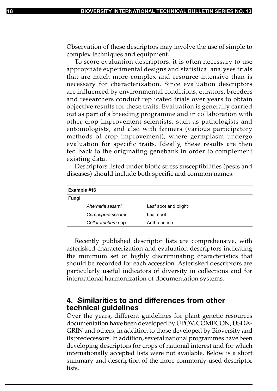Observation of these descriptors may involve the use of simple to complex techniques and equipment.

To score evaluation descriptors, it is often necessary to use appropriate experimental designs and statistical analyses trials that are much more complex and resource intensive than is necessary for characterization. Since evaluation descriptors are influenced by environmental conditions, curators, breeders and researchers conduct replicated trials over years to obtain objective results for these traits. Evaluation is generally carried out as part of a breeding programme and in collaboration with other crop improvement scientists, such as pathologists and entomologists, and also with farmers (various participatory methods of crop improvement), where germplasm undergo evaluation for specific traits. Ideally, these results are then fed back to the originating genebank in order to complement existing data.

Descriptors listed under biotic stress susceptibilities (pests and diseases) should include both specific and common names.

| Example #16 |                     |                      |
|-------------|---------------------|----------------------|
| Fungi       |                     |                      |
|             | Alternaria sesami   | Leaf spot and blight |
|             | Cercospora sesami   | Leaf spot            |
|             | Colletotrichum spp. | Anthracnose          |
|             |                     |                      |

Recently published descriptor lists are comprehensive, with asterisked characterization and evaluation descriptors indicating the minimum set of highly discriminating characteristics that should be recorded for each accession. Asterisked descriptors are particularly useful indicators of diversity in collections and for international harmonization of documentation systems.

# 4. Similarities to and differences from other technical guidelines

Over the years, different guidelines for plant genetic resources documentation have been developed by UPOV, COMECON, USDA-GRIN and others, in addition to those developed by Bioversity and its predecessors. In addition, several national programmes have been developing descriptors for crops of national interest and for which internationally accepted lists were not available. Below is a short summary and description of the more commonly used descriptor lists.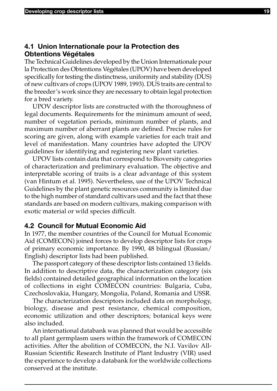#### 4.1 Union Internationale pour la Protection des Obtentions Végétales

The Technical Guidelines developed by the Union Internationale pour la Protection des Obtentions Végétales (UPOV) have been developed specifically for testing the distinctness, uniformity and stability (DUS) of new cultivars of crops (UPOV 1989, 1993). DUS traits are central to the breeder's work since they are necessary to obtain legal protection for a bred variety.

UPOV descriptor lists are constructed with the thoroughness of legal documents. Requirements for the minimum amount of seed, number of vegetation periods, minimum number of plants, and maximum number of aberrant plants are defined. Precise rules for scoring are given, along with example varieties for each trait and level of manifestation. Many countries have adopted the UPOV guidelines for identifying and registering new plant varieties.

UPOV lists contain data that correspond to Bioversity categories of characterization and preliminary evaluation. The objective and interpretable scoring of traits is a clear advantage of this system (van Hintum et al. 1995). Nevertheless, use of the UPOV Technical Guidelines by the plant genetic resources community is limited due to the high number of standard cultivars used and the fact that these standards are based on modern cultivars, making comparison with exotic material or wild species difficult.

#### 4.2 Council for Mutual Economic Aid

In 1977, the member countries of the Council for Mutual Economic Aid (COMECON) joined forces to develop descriptor lists for crops of primary economic importance. By 1990, 48 bilingual (Russian/ English) descriptor lists had been published.

The passport category of these descriptor lists contained 13 fields. In addition to descriptive data, the characterization category (six fields) contained detailed geographical information on the location of collections in eight COMECON countries: Bulgaria, Cuba, Czechoslovakia, Hungary, Mongolia, Poland, Romania and USSR.

The characterization descriptors included data on morphology, biology, disease and pest resistance, chemical composition, economic utilization and other descriptors; botanical keys were also included.

An international databank was planned that would be accessible to all plant germplasm users within the framework of COMECON activities. After the abolition of COMECON, the N.I. Vavilov All-Russian Scientific Research Institute of Plant Industry (VIR) used the experience to develop a databank for the worldwide collections conserved at the institute.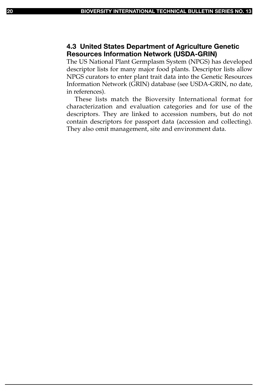# 4.3 United States Department of Agriculture Genetic Resources Information Network (USDA-GRIN)

The US National Plant Germplasm System (NPGS) has developed descriptor lists for many major food plants. Descriptor lists allow NPGS curators to enter plant trait data into the Genetic Resources Information Network (GRIN) database (see USDA-GRIN, no date, in references).

These lists match the Bioversity International format for characterization and evaluation categories and for use of the descriptors. They are linked to accession numbers, but do not contain descriptors for passport data (accession and collecting). They also omit management, site and environment data.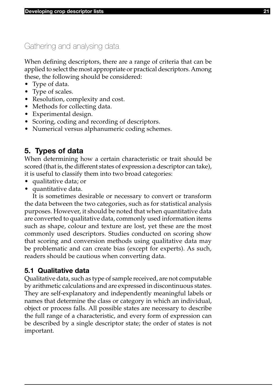# Gathering and analysing data

When defining descriptors, there are a range of criteria that can be applied to select the most appropriate or practical descriptors. Among these, the following should be considered:

- Type of data.
- Type of scales.
- Resolution, complexity and cost.
- Methods for collecting data.
- Experimental design.
- Scoring, coding and recording of descriptors.
- Numerical versus alphanumeric coding schemes.

# 5. Types of data

When determining how a certain characteristic or trait should be scored (that is, the different states of expression a descriptor can take), it is useful to classify them into two broad categories:

- qualitative data; or
- quantitative data.

It is sometimes desirable or necessary to convert or transform the data between the two categories, such as for statistical analysis purposes. However, it should be noted that when quantitative data are converted to qualitative data, commonly used information items such as shape, colour and texture are lost, yet these are the most commonly used descriptors. Studies conducted on scoring show that scoring and conversion methods using qualitative data may be problematic and can create bias (except for experts). As such, readers should be cautious when converting data.

# 5.1 Qualitative data

Qualitative data, such as type of sample received, are not computable by arithmetic calculations and are expressed in discontinuous states. They are self-explanatory and independently meaningful labels or names that determine the class or category in which an individual, object or process falls. All possible states are necessary to describe the full range of a characteristic, and every form of expression can be described by a single descriptor state; the order of states is not important.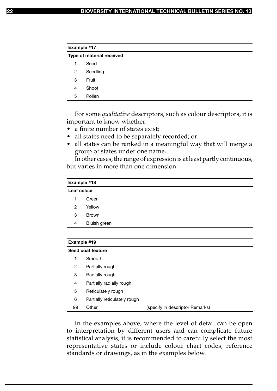#### 22 Bioversity International Technical Bulletin Series NO. 13

|                           | Example #17 |  |  |  |
|---------------------------|-------------|--|--|--|
| Type of material received |             |  |  |  |
| 1                         | Seed        |  |  |  |
| $\overline{2}$            | Seedling    |  |  |  |
| 3                         | Fruit       |  |  |  |
| 4                         | Shoot       |  |  |  |
| 5                         | Pollen      |  |  |  |
|                           |             |  |  |  |

For some *qualitative* descriptors, such as colour descriptors, it is important to know whether:

- a finite number of states exist;
- all states need to be separately recorded; or
- all states can be ranked in a meaningful way that will merge a group of states under one name*.*

In other cases, the range of expression is at least partly continuous, but varies in more than one dimension:

| Example #18 |                          |  |  |
|-------------|--------------------------|--|--|
| Leaf colour |                          |  |  |
| 1           | Green                    |  |  |
| 2           | Yellow                   |  |  |
| 3           | <b>Brown</b>             |  |  |
| 4           | Bluish green             |  |  |
|             |                          |  |  |
| Example #19 |                          |  |  |
|             | Seed coat texture        |  |  |
| 1           | Smooth                   |  |  |
| 2           | Partially rough          |  |  |
| 3           | Radially rough           |  |  |
| 4           | Partially radially rough |  |  |

- 5 Reticulately rough
- 
- 6 Partially reticulately rough
- 99 Other (specify in descriptor Remarks)

In the examples above, where the level of detail can be open to interpretation by different users and can complicate future statistical analysis, it is recommended to carefully select the most representative states or include colour chart codes, reference standards or drawings, as in the examples below.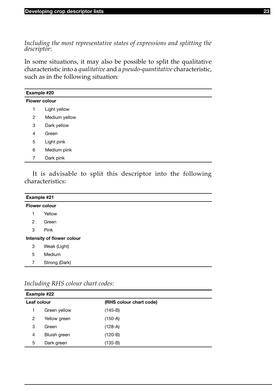*Including the most representative states of expressions and splitting the descriptor*:

In some situations, it may also be possible to split the qualitative characteristic into a *qualitative* and a *pseudo*-*quantitative* characteristic, such as in the following situation:

| Example #20          |               |  |
|----------------------|---------------|--|
| <b>Flower colour</b> |               |  |
| 1                    | Light yellow  |  |
| 2                    | Medium yellow |  |
| 3                    | Dark yellow   |  |
| 4                    | Green         |  |
| 5                    | Light pink    |  |
| 6                    | Medium pink   |  |
| 7                    | Dark pink     |  |
|                      |               |  |

It is advisable to split this descriptor into the following characteristics:

|                            | Example #21   |  |  |
|----------------------------|---------------|--|--|
| <b>Flower colour</b>       |               |  |  |
| 1                          | Yellow        |  |  |
| 2                          | Green         |  |  |
| 3                          | Pink          |  |  |
| Intensity of flower colour |               |  |  |
| 3                          | Weak (Light)  |  |  |
| 5                          | Medium        |  |  |
| 7                          | Strong (Dark) |  |  |

*Including RHS colour chart codes*:

| Example #22 |              |                         |  |
|-------------|--------------|-------------------------|--|
| Leaf colour |              | (RHS colour chart code) |  |
| 1           | Green yellow | $(145-B)$               |  |
| 2           | Yellow green | $(150-A)$               |  |
| 3           | Green        | $(128-A)$               |  |
| 4           | Bluish green | $(120-B)$               |  |
| 5           | Dark green   | $(135-B)$               |  |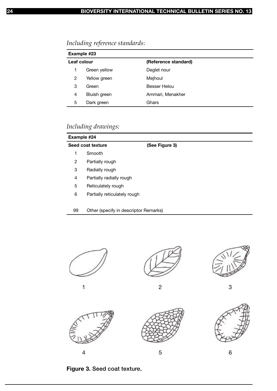#### Bioversity International Technical Bulletin Series NO. 13

| Example #23 |              |                      |  |
|-------------|--------------|----------------------|--|
| Leaf colour |              | (Reference standard) |  |
|             | Green yellow | Deglet nour          |  |
| 2           | Yellow green | Mejhoul              |  |
| 3           | Green        | Besser Helou         |  |
| 4           | Bluish green | Ammari, Menakher     |  |
| 5           | Dark green   | Ghars                |  |

# *Including reference standards*:

# *Including drawings:*

| Example #24       |                              |                |
|-------------------|------------------------------|----------------|
| Seed coat texture |                              | (See Figure 3) |
| 1                 | Smooth                       |                |
| 2                 | Partially rough              |                |
| 3                 | Radially rough               |                |
| $\overline{4}$    | Partially radially rough     |                |
| 5                 | Reticulately rough           |                |
| 6                 | Partially reticulately rough |                |
|                   |                              |                |

Other (specify in descriptor Remarks)









 $2$  3









Figure 3. Seed coat texture.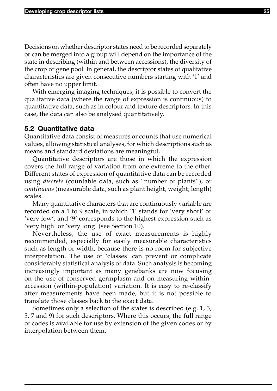Decisions on whether descriptor states need to be recorded separately or can be merged into a group will depend on the importance of the state in describing (within and between accessions), the diversity of the crop or gene pool. In general, the descriptor states of qualitative characteristics are given consecutive numbers starting with '1' and often have no upper limit.

With emerging imaging techniques, it is possible to convert the qualitative data (where the range of expression is continuous) to quantitative data, such as in colour and texture descriptors. In this case, the data can also be analysed quantitatively.

#### 5.2 Quantitative data

Quantitative data consist of measures or counts that use numerical values, allowing statistical analyses, for which descriptions such as means and standard deviations are meaningful.

Quantitative descriptors are those in which the expression covers the full range of variation from one extreme to the other. Different states of expression of quantitative data can be recorded using *discrete* (countable data, such as "number of plants"), or *continuous* (measurable data, such as plant height, weight, length) scales.

Many quantitative characters that are continuously variable are recorded on a 1 to 9 scale, in which '1' stands for 'very short' or 'very low', and '9' corresponds to the highest expression such as 'very high' or 'very long' (see Section 10).

Nevertheless, the use of exact measurements is highly recommended, especially for easily measurable characteristics such as length or width, because there is no room for subjective interpretation. The use of 'classes' can prevent or complicate considerably statistical analysis of data. Such analysis is becoming increasingly important as many genebanks are now focusing on the use of conserved germplasm and on measuring withinaccession (within-population) variation. It is easy to re-classify after measurements have been made, but it is not possible to translate those classes back to the exact data.

Sometimes only a selection of the states is described (e.g. 1, 3, 5, 7 and 9) for such descriptors. Where this occurs, the full range of codes is available for use by extension of the given codes or by interpolation between them.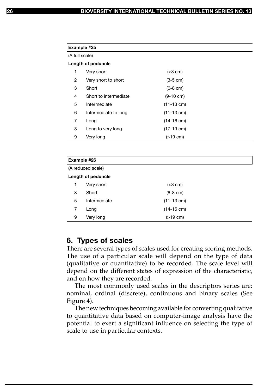| Example #25        |                       |                      |  |  |
|--------------------|-----------------------|----------------------|--|--|
|                    | (A full scale)        |                      |  |  |
| Length of peduncle |                       |                      |  |  |
| 1                  | Very short            | $(3 \text{ cm})$     |  |  |
| $\overline{2}$     | Very short to short   | $(3-5 \text{ cm})$   |  |  |
| 3                  | Short                 | $(6-8$ cm)           |  |  |
| 4                  | Short to intermediate | $(9-10 \text{ cm})$  |  |  |
| 5                  | Intermediate          | $(11-13 \text{ cm})$ |  |  |
| 6                  | Intermediate to long  | $(11-13 \text{ cm})$ |  |  |
| 7                  | Long                  | $(14-16 \text{ cm})$ |  |  |
| 8                  | Long to very long     | $(17-19 \text{ cm})$ |  |  |
| 9                  | Very long             | ( > 19 cm)           |  |  |

|   | Example #26        |                      |  |  |  |
|---|--------------------|----------------------|--|--|--|
|   | (A reduced scale)  |                      |  |  |  |
|   | Length of peduncle |                      |  |  |  |
| 1 | Very short         | $(3 \text{ cm})$     |  |  |  |
| 3 | Short              | $(6-8$ cm)           |  |  |  |
| 5 | Intermediate       | $(11-13 \text{ cm})$ |  |  |  |
| 7 | Long               | $(14-16 \text{ cm})$ |  |  |  |
| 9 | Very long          | ( > 19 cm)           |  |  |  |

### 6. Types of scales

There are several types of scales used for creating scoring methods. The use of a particular scale will depend on the type of data (qualitative or quantitative) to be recorded. The scale level will depend on the different states of expression of the characteristic, and on how they are recorded.

The most commonly used scales in the descriptors series are: nominal, ordinal (discrete), continuous and binary scales (See Figure 4).

The new techniques becoming available for converting qualitative to quantitative data based on computer-image analysis have the potential to exert a significant influence on selecting the type of scale to use in particular contexts.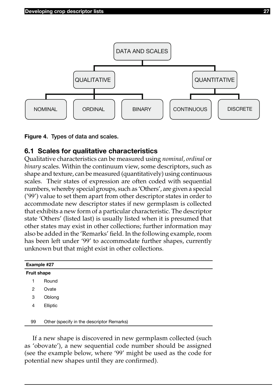

#### Figure 4. Types of data and scales.

### 6.1 Scales for qualitative characteristics

Qualitative characteristics can be measured using *nominal*, *ordinal* or *binary* scales. Within the continuum view, some descriptors, such as shape and texture, can be measured (quantitatively) using continuous scales. Their states of expression are often coded with sequential numbers, whereby special groups, such as 'Others', are given a special ('99') value to set them apart from other descriptor states in order to accommodate new descriptor states if new germplasm is collected that exhibits a new form of a particular characteristic. The descriptor state 'Others' (listed last) is usually listed when it is presumed that other states may exist in other collections; further information may also be added in the 'Remarks' field. In the following example, room has been left under '99' to accommodate further shapes, currently unknown but that might exist in other collections.

| Example #27    |                                           |  |
|----------------|-------------------------------------------|--|
| Fruit shape    |                                           |  |
| 1              | Round                                     |  |
| $\overline{2}$ | Ovate                                     |  |
| 3              | Oblong                                    |  |
| 4              | Elliptic                                  |  |
|                |                                           |  |
| 99             | Other (specify in the descriptor Remarks) |  |

If a new shape is discovered in new germplasm collected (such as 'obovate'), a new sequential code number should be assigned (see the example below, where '99' might be used as the code for potential new shapes until they are confirmed).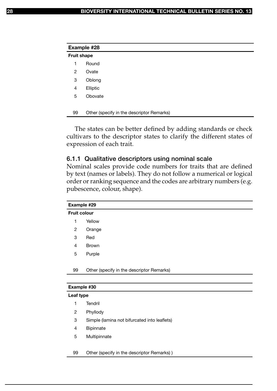| Example #28        |                                           |  |
|--------------------|-------------------------------------------|--|
| <b>Fruit shape</b> |                                           |  |
| 1                  | Round                                     |  |
| 2                  | Ovate                                     |  |
| 3                  | Oblong                                    |  |
| 4                  | Elliptic                                  |  |
| 5                  | Obovate                                   |  |
|                    |                                           |  |
| 99                 | Other (specify in the descriptor Remarks) |  |
|                    |                                           |  |

The states can be better defined by adding standards or check cultivars to the descriptor states to clarify the different states of expression of each trait.

#### 6.1.1 Qualitative descriptors using nominal scale

Nominal scales provide code numbers for traits that are defined by text (names or labels). They do not follow a numerical or logical order or ranking sequence and the codes are arbitrary numbers (e.g. pubescence, colour, shape).

| Example #29         |                                           |  |
|---------------------|-------------------------------------------|--|
| <b>Fruit colour</b> |                                           |  |
| 1                   | Yellow                                    |  |
| 2                   | Orange                                    |  |
| 3                   | Red                                       |  |
| 4                   | <b>Brown</b>                              |  |
| 5                   | Purple                                    |  |
|                     |                                           |  |
| 99                  | Other (specify in the descriptor Remarks) |  |
|                     |                                           |  |
| Example #30         |                                           |  |
| Leaf type           |                                           |  |

- 2 Phyllody
- 3 Simple (lamina not bifurcated into leaflets)
- 4 Bipinnate
- 5 Multipinnate
- 99 Other (specify in the descriptor Remarks) )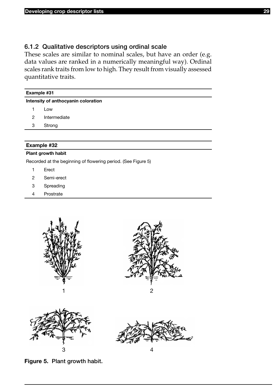#### 6.1.2 Qualitative descriptors using ordinal scale

These scales are similar to nominal scales, but have an order (e.g. data values are ranked in a numerically meaningful way). Ordinal scales rank traits from low to high. They result from visually assessed quantitative traits.

| Example #31                         |  |
|-------------------------------------|--|
| Intensity of anthocyanin coloration |  |

- 1 Low
- 2 Intermediate
- 3 Strong

#### Example #32

#### Plant growth habit

Recorded at the beginning of flowering period. (See Figure 5)

- 1 Erect
- 2 Semi-erect
- 3 Spreading
- 4 Prostrate









Figure 5. Plant growth habit.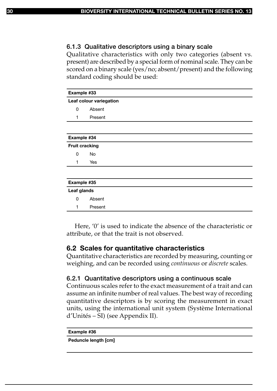#### 6.1.3 Qualitative descriptors using a binary scale

Qualitative characteristics with only two categories (absent vs. present) are described by a special form of nominal scale. They can be scored on a binary scale (yes/no; absent/present) and the following standard coding should be used:

| Example #33 |                         |  |  |
|-------------|-------------------------|--|--|
|             | Leaf colour variegation |  |  |
| 0           | Absent                  |  |  |
| 1           | Present                 |  |  |
|             |                         |  |  |
|             | Example #34             |  |  |
|             | <b>Fruit cracking</b>   |  |  |
| 0           | No                      |  |  |
| 1           | Yes                     |  |  |
|             |                         |  |  |
|             | Example #35             |  |  |
| Leaf glands |                         |  |  |
| 0           | Absent                  |  |  |
| 1           | Present                 |  |  |

Here, '0' is used to indicate the absence of the characteristic or attribute, or that the trait is not observed.

### 6.2 Scales for quantitative characteristics

Quantitative characteristics are recorded by measuring, counting or weighing, and can be recorded using *continuous* or *discrete* scales.

#### 6.2.1 Quantitative descriptors using a continuous scale

Continuous scales refer to the exact measurement of a trait and can assume an infinite number of real values. The best way of recording quantitative descriptors is by scoring the measurement in exact units, using the international unit system (Système International d'Unités – SI) (see Appendix II).

```
Example #36
```
Peduncle length [cm]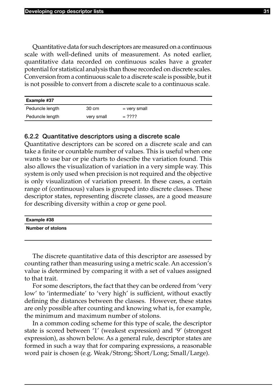Quantitative data for such descriptors are measured on a continuous scale with well-defined units of measurement. As noted earlier, quantitative data recorded on continuous scales have a greater potential for statistical analysis than those recorded on discrete scales. Conversion from a continuous scale to a discrete scale is possible, but it is not possible to convert from a discrete scale to a continuous scale.

| Example #37     |            |              |
|-----------------|------------|--------------|
| Peduncle length | 30 cm      | = very small |
| Peduncle length | very small | $= 2222$     |

#### 6.2.2 Quantitative descriptors using a discrete scale

Quantitative descriptors can be scored on a discrete scale and can take a finite or countable number of values. This is useful when one wants to use bar or pie charts to describe the variation found. This also allows the visualization of variation in a very simple way. This system is only used when precision is not required and the objective is only visualization of variation present. In these cases, a certain range of (continuous) values is grouped into discrete classes. These descriptor states, representing discrete classes, are a good measure for describing diversity within a crop or gene pool.

| Example #38       |  |
|-------------------|--|
| Number of stolons |  |

The discrete quantitative data of this descriptor are assessed by counting rather than measuring using a metric scale. An accession's value is determined by comparing it with a set of values assigned to that trait.

For some descriptors, the fact that they can be ordered from 'very low' to 'intermediate' to 'very high' is sufficient, without exactly defining the distances between the classes. However, these states are only possible after counting and knowing what is, for example, the minimum and maximum number of stolons.

In a common coding scheme for this type of scale, the descriptor state is scored between '1' (weakest expression) and '9' (strongest expression), as shown below. As a general rule, descriptor states are formed in such a way that for comparing expressions, a reasonable word pair is chosen (e.g. Weak/Strong; Short/Long; Small/Large).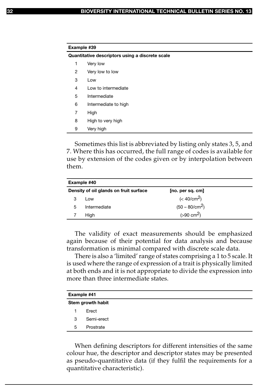| Example #39                                     |                      |  |  |
|-------------------------------------------------|----------------------|--|--|
| Quantitative descriptors using a discrete scale |                      |  |  |
| 1                                               | Very low             |  |  |
| 2                                               | Very low to low      |  |  |
| 3                                               | Low                  |  |  |
| 4                                               | Low to intermediate  |  |  |
| 5                                               | Intermediate         |  |  |
| 6                                               | Intermediate to high |  |  |
| 7                                               | High                 |  |  |
| 8                                               | High to very high    |  |  |
| 9                                               | Very high            |  |  |

Sometimes this list is abbreviated by listing only states 3, 5, and 7. Where this has occurred, the full range of codes is available for use by extension of the codes given or by interpolation between them.

| Example #40                            |              |                          |  |
|----------------------------------------|--------------|--------------------------|--|
| Density of oil glands on fruit surface |              | [no. per sq. cm]         |  |
|                                        | Low          | (< 40/cm <sup>2</sup> )  |  |
| 5                                      | Intermediate | $(50 - 80/cm^2)$         |  |
|                                        | High         | ( > 90 cm <sup>2</sup> ) |  |

The validity of exact measurements should be emphasized again because of their potential for data analysis and because transformation is minimal compared with discrete scale data.

There is also a 'limited' range of states comprising a 1 to 5 scale. It is used where the range of expression of a trait is physically limited at both ends and it is not appropriate to divide the expression into more than three intermediate states.

| Example #41       |            |
|-------------------|------------|
| Stem growth habit |            |
|                   | Erect      |
| 3                 | Semi-erect |
| 5                 | Prostrate  |

When defining descriptors for different intensities of the same colour hue, the descriptor and descriptor states may be presented as pseudo-quantitative data (if they fulfil the requirements for a quantitative characteristic).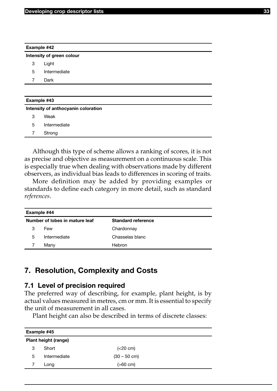|   | Example #42                         |  |  |
|---|-------------------------------------|--|--|
|   | Intensity of green colour           |  |  |
| 3 | Light                               |  |  |
| 5 | Intermediate                        |  |  |
| 7 | Dark                                |  |  |
|   |                                     |  |  |
|   |                                     |  |  |
|   | Example #43                         |  |  |
|   | Intensity of anthocyanin coloration |  |  |
| 3 | Weak                                |  |  |
| 5 | Intermediate                        |  |  |
| 7 | Strong                              |  |  |

Although this type of scheme allows a ranking of scores, it is not as precise and objective as measurement on a continuous scale. This is especially true when dealing with observations made by different observers, as individual bias leads to differences in scoring of traits.

More definition may be added by providing examples or standards to define each category in more detail, such as standard *references*.

|   | Number of lobes in mature leaf | <b>Standard reference</b> |
|---|--------------------------------|---------------------------|
|   |                                |                           |
| 3 | Few                            | Chardonnay                |
| 5 | Intermediate                   | Chasselas blanc           |
|   | Many                           | Hebron                    |

### 7. Resolution, Complexity and Costs

#### 7.1 Level of precision required

The preferred way of describing, for example, plant height, is by actual values measured in metres, cm or mm. It is essential to specify the unit of measurement in all cases.

Plant height can also be described in terms of discrete classes:

| Example #45 |                      |                        |  |  |
|-------------|----------------------|------------------------|--|--|
|             | Plant height (range) |                        |  |  |
| 3           | Short                | (< 20 cm)              |  |  |
| 5           | Intermediate         | $(30 - 50 \text{ cm})$ |  |  |
|             | Long                 | $( > 60 \text{ cm})$   |  |  |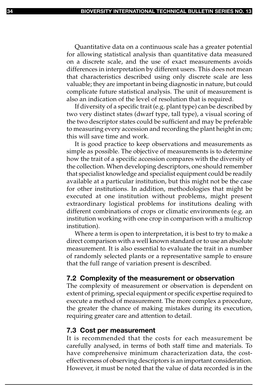Quantitative data on a continuous scale has a greater potential for allowing statistical analysis than quantitative data measured on a discrete scale, and the use of exact measurements avoids differences in interpretation by different users. This does not mean that characteristics described using only discrete scale are less valuable; they are important in being diagnostic in nature, but could complicate future statistical analysis. The unit of measurement is also an indication of the level of resolution that is required.

If diversity of a specific trait (e.g. plant type) can be described by two very distinct states (dwarf type, tall type), a visual scoring of the two descriptor states could be sufficient and may be preferable to measuring every accession and recording the plant height in cm; this will save time and work.

It is good practice to keep observations and measurements as simple as possible. The objective of measurements is to determine how the trait of a specific accession compares with the diversity of the collection. When developing descriptors, one should remember that specialist knowledge and specialist equipment could be readily available at a particular institution, but this might not be the case for other institutions. In addition, methodologies that might be executed at one institution without problems, might present extraordinary logistical problems for institutions dealing with different combinations of crops or climatic environments (e.g. an institution working with one crop in comparison with a multicrop institution).

Where a term is open to interpretation, it is best to try to make a direct comparison with a well known standard or to use an absolute measurement. It is also essential to evaluate the trait in a number of randomly selected plants or a representative sample to ensure that the full range of variation present is described.

#### 7.2 Complexity of the measurement or observation

The complexity of measurement or observation is dependent on extent of priming, special equipment or specific expertise required to execute a method of measurement. The more complex a procedure, the greater the chance of making mistakes during its execution, requiring greater care and attention to detail.

#### 7.3 Cost per measurement

It is recommended that the costs for each measurement be carefully analysed, in terms of both staff time and materials. To have comprehensive minimum characterization data, the costeffectiveness of observing descriptors is an important consideration. However, it must be noted that the value of data recorded is in the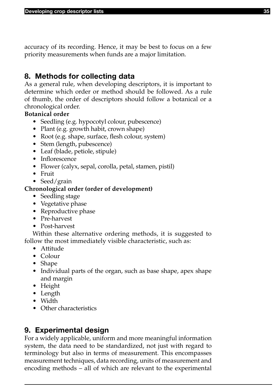accuracy of its recording. Hence, it may be best to focus on a few priority measurements when funds are a major limitation.

# 8. Methods for collecting data

As a general rule, when developing descriptors, it is important to determine which order or method should be followed. As a rule of thumb, the order of descriptors should follow a botanical or a chronological order.

#### **Botanical order**

- Seedling (e.g. hypocotyl colour, pubescence)
- Plant (e.g. growth habit, crown shape)
- Root (e.g. shape, surface, flesh colour, system)
- Stem (length, pubescence)
- Leaf (blade, petiole, stipule)
- Inflorescence
- Flower (calyx, sepal, corolla, petal, stamen, pistil)
- Fruit
- Seed/grain

### **Chronological order (order of development)**

- Seedling stage
- Vegetative phase
- Reproductive phase
- Pre-harvest
- Post-harvest

Within these alternative ordering methods, it is suggested to follow the most immediately visible characteristic, such as:

- Attitude
- Colour
- Shape
- Individual parts of the organ, such as base shape, apex shape and margin
- Height
- Length
- Width
- Other characteristics

# 9. Experimental design

For a widely applicable, uniform and more meaningful information system, the data need to be standardized, not just with regard to terminology but also in terms of measurement. This encompasses measurement techniques, data recording, units of measurement and encoding methods – all of which are relevant to the experimental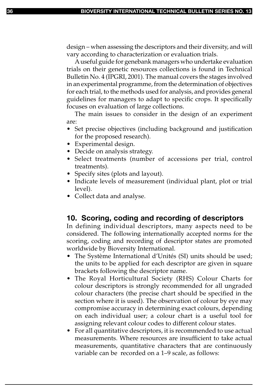design – when assessing the descriptors and their diversity, and will vary according to characterization or evaluation trials.

A useful guide for genebank managers who undertake evaluation trials on their genetic resources collections is found in Technical Bulletin No. 4 (IPGRI, 2001). The manual covers the stages involved in an experimental programme, from the determination of objectives for each trial, to the methods used for analysis, and provides general guidelines for managers to adapt to specific crops. It specifically focuses on evaluation of large collections.

The main issues to consider in the design of an experiment are:

- Set precise objectives (including background and justification for the proposed research).
- Experimental design.
- Decide on analysis strategy.
- Select treatments (number of accessions per trial, control treatments).
- Specify sites (plots and layout).
- Indicate levels of measurement (individual plant, plot or trial level).
- Collect data and analyse.

### 10. Scoring, coding and recording of descriptors

In defining individual descriptors, many aspects need to be considered. The following internationally accepted norms for the scoring, coding and recording of descriptor states are promoted worldwide by Bioversity International.

- The Système International d'Unités (SI) units should be used; the units to be applied for each descriptor are given in square brackets following the descriptor name.
- The Royal Horticultural Society (RHS) Colour Charts for colour descriptors is strongly recommended for all ungraded colour characters (the precise chart should be specified in the section where it is used). The observation of colour by eye may compromise accuracy in determining exact colours, depending on each individual user; a colour chart is a useful tool for assigning relevant colour codes to different colour states.
- For all quantitative descriptors, it is recommended to use actual measurements. Where resources are insufficient to take actual measurements, quantitative characters that are continuously variable can be recorded on a 1–9 scale, as follows: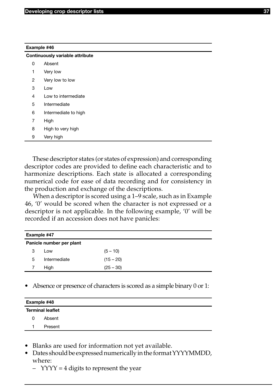| Example #46                     |                      |  |
|---------------------------------|----------------------|--|
| Continuously variable attribute |                      |  |
| 0                               | Absent               |  |
| 1                               | Very low             |  |
| $\overline{2}$                  | Very low to low      |  |
| 3                               | Low                  |  |
| 4                               | Low to intermediate  |  |
| 5                               | Intermediate         |  |
| 6                               | Intermediate to high |  |
| 7                               | High                 |  |
| 8                               | High to very high    |  |
| 9                               | Very high            |  |
|                                 |                      |  |

These descriptor states (or states of expression) and corresponding descriptor codes are provided to define each characteristic and to harmonize descriptions. Each state is allocated a corresponding numerical code for ease of data recording and for consistency in the production and exchange of the descriptions.

When a descriptor is scored using a 1–9 scale, such as in Example 46, '0' would be scored when the character is not expressed or a descriptor is not applicable. In the following example, '0' will be recorded if an accession does not have panicles:

| Example #47 |                          |             |  |
|-------------|--------------------------|-------------|--|
|             | Panicle number per plant |             |  |
| З           | Low                      | $(5 - 10)$  |  |
| 5           | Intermediate             | $(15 - 20)$ |  |
|             | High                     | $(25 - 30)$ |  |

Absence or presence of characters is scored as a simple binary 0 or 1:

|                         | Example #48 |
|-------------------------|-------------|
| <b>Terminal leaflet</b> |             |
| 0                       | Absent      |
|                         | Present     |

- Blanks are used for information not yet available.
- Dates should be expressed numerically in the format YYYYMMDD, where:
	- YYYY = 4 digits to represent the year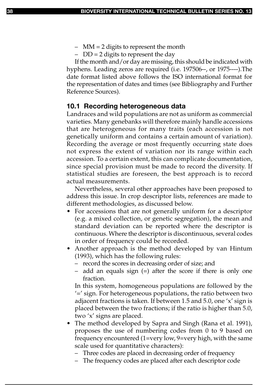- MM = 2 digits to represent the month
- $-$  DD = 2 digits to represent the day

If the month and/or day are missing, this should be indicated with hyphens. Leading zeros are required (i.e. 197506--, or 1975----).The date format listed above follows the ISO international format for the representation of dates and times (see Bibliography and Further Reference Sources).

### 10.1 Recording heterogeneous data

Landraces and wild populations are not as uniform as commercial varieties. Many genebanks will therefore mainly handle accessions that are heterogeneous for many traits (each accession is not genetically uniform and contains a certain amount of variation). Recording the average or most frequently occurring state does not express the extent of variation nor its range within each accession. To a certain extent, this can complicate documentation, since special provision must be made to record the diversity. If statistical studies are foreseen, the best approach is to record actual measurements.

Nevertheless, several other approaches have been proposed to address this issue. In crop descriptor lists, references are made to different methodologies, as discussed below.

- For accessions that are not generally uniform for a descriptor (e.g. a mixed collection, or genetic segregation), the mean and standard deviation can be reported where the descriptor is continuous. Where the descriptor is discontinuous, several codes in order of frequency could be recorded.
- Another approach is the method developed by van Hintum (1993), which has the following rules:
	- record the scores in decreasing order of size; and
	- add an equals sign (=) after the score if there is only one fraction.

In this system, homogeneous populations are followed by the '=' sign. For heterogeneous populations, the ratio between two adjacent fractions is taken. If between 1.5 and 5.0, one 'x' sign is placed between the two fractions; if the ratio is higher than 5.0, two 'x' signs are placed.

- The method developed by Sapra and Singh (Rana et al. 1991), proposes the use of numbering codes from 0 to 9 based on frequency encountered (1=very low, 9=very high, with the same scale used for quantitative characters):
	- Three codes are placed in decreasing order of frequency
	- The frequency codes are placed after each descriptor code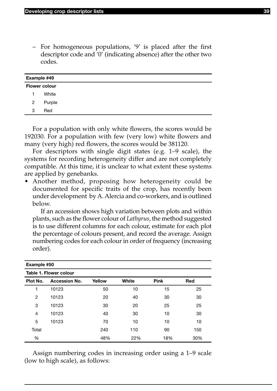– For homogeneous populations, '9' is placed after the first descriptor code and '0' (indicating absence) after the other two codes.

| Example #49    |                      |
|----------------|----------------------|
|                | <b>Flower colour</b> |
|                | White                |
| $\overline{2}$ | Purple               |
| 3              | Red                  |

For a population with only white flowers, the scores would be 192030. For a population with few (very low) white flowers and many (very high) red flowers, the scores would be 381120.

For descriptors with single digit states (e.g. 1–9 scale), the systems for recording heterogeneity differ and are not completely compatible. At this time, it is unclear to what extent these systems are applied by genebanks.

• Another method, proposing how heterogeneity could be documented for specific traits of the crop, has recently been under development by A. Alercia and co-workers, and is outlined below.

If an accession shows high variation between plots and within plants, such as the flower colour of *Lathyrus*, the method suggested is to use different columns for each colour, estimate for each plot the percentage of colours present, and record the average. Assign numbering codes for each colour in order of frequency (increasing order).

| Example #50 |                        |        |       |             |     |
|-------------|------------------------|--------|-------|-------------|-----|
|             | Table 1. Flower colour |        |       |             |     |
| Plot No.    | <b>Accession No.</b>   | Yellow | White | <b>Pink</b> | Red |
| 1           | 10123                  | 50     | 10    | 15          | 25  |
| 2           | 10123                  | 20     | 40    | 30          | 30  |
| 3           | 10123                  | 30     | 20    | 25          | 25  |
| 4           | 10123                  | 40     | 30    | 10          | 30  |
| 5           | 10123                  | 70     | 10    | 10          | 10  |
| Total       |                        | 240    | 110   | 90          | 150 |
| %           |                        | 48%    | 22%   | 18%         | 30% |

Assign numbering codes in increasing order using a 1–9 scale (low to high scale), as follows: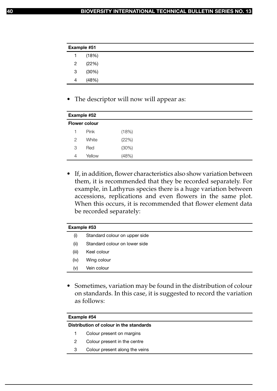| Example #51 |       |
|-------------|-------|
|             | (18%) |
| 2           | (22%) |
| 3           | (30%) |
| 4           | (48%) |

• The descriptor will now will appear as:

| Example #52          |        |       |  |
|----------------------|--------|-------|--|
| <b>Flower colour</b> |        |       |  |
|                      | Pink   | (18%) |  |
| 2                    | White  | (22%) |  |
| 3                    | Red    | (30%) |  |
| $\overline{4}$       | Yellow | (48%) |  |

• If, in addition, flower characteristics also show variation between them, it is recommended that they be recorded separately. For example, in Lathyrus species there is a huge variation between accessions, replications and even flowers in the same plot. When this occurs, it is recommended that flower element data be recorded separately:

| Example #53 |                               |  |
|-------------|-------------------------------|--|
| (i)         | Standard colour on upper side |  |
| (ii)        | Standard colour on lower side |  |
| (iii)       | Keel colour                   |  |
| (iv)        | Wing colour                   |  |
| (v)         | Vein colour                   |  |

• Sometimes, variation may be found in the distribution of colour on standards. In this case, it is suggested to record the variation as follows:

| Example #54                             |                              |  |  |
|-----------------------------------------|------------------------------|--|--|
| Distribution of colour in the standards |                              |  |  |
| $\mathbf{1}$                            | Colour present on margins    |  |  |
| 2                                       | Colour present in the centre |  |  |

3 Colour present along the veins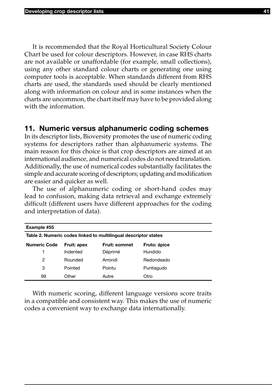It is recommended that the Royal Horticultural Society Colour Chart be used for colour descriptors. However, in case RHS charts are not available or unaffordable (for example, small collections), using any other standard colour charts or generating one using computer tools is acceptable. When standards different from RHS charts are used, the standards used should be clearly mentioned along with information on colour and in some instances when the charts are uncommon, the chart itself may have to be provided along with the information.

### 11. Numeric versus alphanumeric coding schemes

In its descriptor lists, Bioversity promotes the use of numeric coding systems for descriptors rather than alphanumeric systems. The main reason for this choice is that crop descriptors are aimed at an international audience, and numerical codes do not need translation. Additionally, the use of numerical codes substantially facilitates the simple and accurate scoring of descriptors; updating and modification are easier and quicker as well.

The use of alphanumeric coding or short-hand codes may lead to confusion, making data retrieval and exchange extremely difficult (different users have different approaches for the coding and interpretation of data).

| Example #55                                                     |             |                      |              |
|-----------------------------------------------------------------|-------------|----------------------|--------------|
| Table 2. Numeric codes linked to multilingual descriptor states |             |                      |              |
| <b>Numeric Code</b>                                             | Fruit: apex | <b>Fruit: sommet</b> | Fruto: ápice |
|                                                                 | Indented    | Déprimé              | Hundido      |
| 2                                                               | Rounded     | Arrondi              | Redondeado   |
| 3                                                               | Pointed     | Pointu               | Puntiagudo   |
| 99                                                              | Other       | Autre                | Otro         |

With numeric scoring, different language versions score traits in a compatible and consistent way. This makes the use of numeric codes a convenient way to exchange data internationally.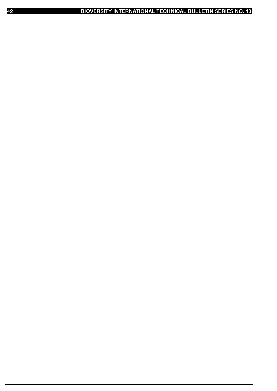### Bioversity International Technical Bulletin Series NO. 13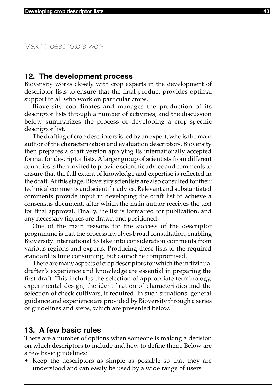Making descriptors work

#### 12. The development process

Bioversity works closely with crop experts in the development of descriptor lists to ensure that the final product provides optimal support to all who work on particular crops.

Bioversity coordinates and manages the production of its descriptor lists through a number of activities, and the discussion below summarizes the process of developing a crop-specific descriptor list.

The drafting of crop descriptors is led by an expert, who is the main author of the characterization and evaluation descriptors. Bioversity then prepares a draft version applying its internationally accepted format for descriptor lists. A larger group of scientists from different countries is then invited to provide scientific advice and comments to ensure that the full extent of knowledge and expertise is reflected in the draft. At this stage, Bioversity scientists are also consulted for their technical comments and scientific advice. Relevant and substantiated comments provide input in developing the draft list to achieve a consensus document, after which the main author receives the text for final approval. Finally, the list is formatted for publication, and any necessary figures are drawn and positioned.

One of the main reasons for the success of the descriptor programme is that the process involves broad consultation, enabling Bioversity International to take into consideration comments from various regions and experts. Producing these lists to the required standard is time consuming, but cannot be compromised.

There are many aspects of crop descriptors for which the individual drafter's experience and knowledge are essential in preparing the first draft. This includes the selection of appropriate terminology, experimental design, the identification of characteristics and the selection of check cultivars, if required. In such situations, general guidance and experience are provided by Bioversity through a series of guidelines and steps, which are presented below.

#### 13. A few basic rules

There are a number of options when someone is making a decision on which descriptors to include and how to define them. Below are a few basic guidelines:

• Keep the descriptors as simple as possible so that they are understood and can easily be used by a wide range of users.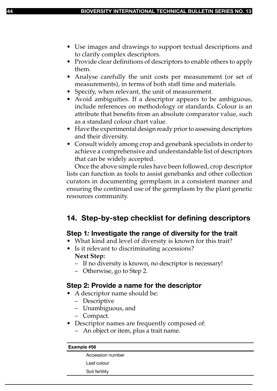- Use images and drawings to support textual descriptions and to clarify complex descriptors.
- Provide clear definitions of descriptors to enable others to apply them.
- Analyse carefully the unit costs per measurement (or set of measurements), in terms of both staff time and materials.
- Specify, when relevant, the unit of measurement.
- Avoid ambiguities. If a descriptor appears to be ambiguous, include references on methodology or standards. Colour is an attribute that benefits from an absolute comparator value, such as a standard colour chart value.
- Have the experimental design ready prior to assessing descriptors and their diversity.
- Consult widely among crop and genebank specialists in order to achieve a comprehensive and understandable list of descriptors that can be widely accepted.

Once the above simple rules have been followed, crop descriptor lists can function as tools to assist genebanks and other collection curators in documenting germplasm in a consistent manner and ensuring the continued use of the germplasm by the plant genetic resources community.

# 14. Step-by-step checklist for defining descriptors

### Step 1*:* Investigate the range of diversity for the trait

- What kind and level of diversity is known for this trait?
- Is it relevant to discriminating accessions? **Next Step:**
	- If no diversity is known, no descriptor is necessary!
	- Otherwise, go to Step 2.

### Step 2: Provide a name for the descriptor

- A descriptor name should be:
	- Descriptive
	- Unambiguous, and
	- Compact.
- Descriptor names are frequently composed of:
	- An object or item, plus a trait name.

#### Example #56

Accession number

Leaf colour

Soil fertility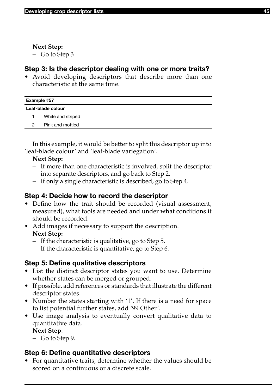**Next Step:** 

– Go to Step 3

### Step 3: Is the descriptor dealing with one or more traits?

• Avoid developing descriptors that describe more than one characteristic at the same time.

| Example #57 |                   |  |
|-------------|-------------------|--|
|             | Leaf-blade colour |  |
|             | White and striped |  |
| 2           | Pink and mottled  |  |

In this example, it would be better to split this descriptor up into 'leaf-blade colour' and 'leaf-blade variegation'.

### **Next Step:**

- If more than one characteristic is involved, split the descriptor into separate descriptors, and go back to Step 2.
- If only a single characteristic is described, go to Step 4.

### Step 4: Decide how to record the descriptor

- Define how the trait should be recorded (visual assessment, measured), what tools are needed and under what conditions it should be recorded.
- Add images if necessary to support the description. **Next Step:**
	- If the characteristic is qualitative, go to Step 5.
	- If the characteristic is quantitative, go to Step 6.

# Step 5: Define qualitative descriptors

- List the distinct descriptor states you want to use. Determine whether states can be merged or grouped.
- If possible, add references or standards that illustrate the different descriptor states.
- Number the states starting with '1'. If there is a need for space to list potential further states, add '99 Other'.
- Use image analysis to eventually convert qualitative data to quantitative data.

**Next Step**:

– Go to Step 9.

# Step 6: Define quantitative descriptors

• For quantitative traits, determine whether the values should be scored on a continuous or a discrete scale.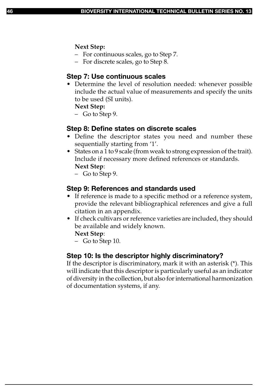### **Next Step:**

- For continuous scales, go to Step 7.
- For discrete scales, go to Step 8.

### Step 7: Use continuous scales

• Determine the level of resolution needed: whenever possible include the actual value of measurements and specify the units to be used (SI units).

**Next Step:**

– Go to Step 9.

### Step 8: Define states on discrete scales

- Define the descriptor states you need and number these sequentially starting from '1'.
- States on a 1 to 9 scale (from weak to strong expression of the trait). Include if necessary more defined references or standards. **Next Step**:
	- Go to Step 9.

### Step 9: References and standards used

- If reference is made to a specific method or a reference system, provide the relevant bibliographical references and give a full citation in an appendix.
- If check cultivars or reference varieties are included, they should be available and widely known.

**Next Step**:

– Go to Step 10.

### Step 10: Is the descriptor highly discriminatory?

If the descriptor is discriminatory, mark it with an asterisk (\*). This will indicate that this descriptor is particularly useful as an indicator of diversity in the collection, but also for international harmonization of documentation systems, if any.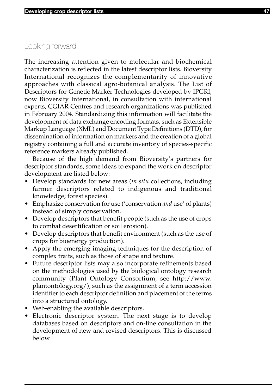### Looking forward

The increasing attention given to molecular and biochemical characterization is reflected in the latest descriptor lists. Bioversity International recognizes the complementarity of innovative approaches with classical agro-botanical analysis. The List of Descriptors for Genetic Marker Technologies developed by IPGRI, now Bioversity International, in consultation with international experts, CGIAR Centres and research organizations was published in February 2004. Standardizing this information will facilitate the development of data exchange encoding formats, such as Extensible Markup Language (XML) and Document Type Definitions (DTD), for dissemination of information on markers and the creation of a global registry containing a full and accurate inventory of species-specific reference markers already published.

Because of the high demand from Bioversity's partners for descriptor standards, some ideas to expand the work on descriptor development are listed below:

- Develop standards for new areas (*in situ* collections, including farmer descriptors related to indigenous and traditional knowledge; forest species).
- Emphasize conservation for use ('conservation *and* use' of plants) instead of simply conservation.
- Develop descriptors that benefit people (such as the use of crops to combat desertification or soil erosion).
- Develop descriptors that benefit environment (such as the use of crops for bioenergy production).
- Apply the emerging imaging techniques for the description of complex traits, such as those of shape and texture.
- Future descriptor lists may also incorporate refinements based on the methodologies used by the biological ontology research community (Plant Ontology Consortium, see http://www. plantontology.org/), such as the assignment of a term accession identifier to each descriptor definition and placement of the terms into a structured ontology.
- Web-enabling the available descriptors.
- Electronic descriptor system. The next stage is to develop databases based on descriptors and on-line consultation in the development of new and revised descriptors. This is discussed below.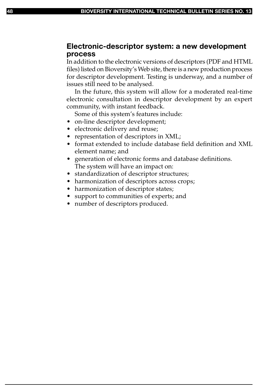### Electronic-descriptor system: a new development process

In addition to the electronic versions of descriptors (PDF and HTML files) listed on Bioversity's Web site, there is a new production process for descriptor development. Testing is underway, and a number of issues still need to be analysed.

In the future, this system will allow for a moderated real-time electronic consultation in descriptor development by an expert community, with instant feedback.

Some of this system's features include:

- on-line descriptor development;
- electronic delivery and reuse;
- representation of descriptors in XML;
- format extended to include database field definition and XML element name; and
- generation of electronic forms and database definitions. The system will have an impact on:
- standardization of descriptor structures;
- harmonization of descriptors across crops;
- harmonization of descriptor states;
- support to communities of experts; and
- number of descriptors produced.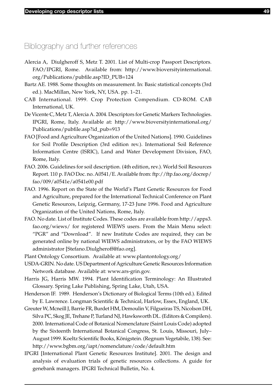### Bibliography and further references

- Alercia A, Diulgheroff S, Metz T. 2001. List of Multi-crop Passport Descriptors. FAO/IPGRI, Rome. Available from: http://www.bioversityinternational. org/Publications/pubfile.asp?ID\_PUB=124
- Bartz AE. 1988. Some thoughts on measurement. In: Basic statistical concepts (3rd ed.). MacMillan, New York, NY, USA. pp. 1–21.
- CAB International. 1999. Crop Protection Compendium. CD-ROM. CAB International, UK.
- De Vicente C, Metz T, Alercia A. 2004. Descriptors for Genetic Markers Technologies. IPGRI, Rome, Italy. Available at: http://www.bioversityinternational.org/ Publications/pubfile.asp?id\_pub=913
- FAO [Food and Agriculture Organization of the United Nations]. 1990. Guidelines for Soil Profile Description (3rd edition rev.). International Soil Reference Information Centre (ISRIC), Land and Water Development Division, FAO, Rome, Italy.
- FAO. 2006. Guidelines for soil description. (4th edition, rev.). World Soil Resources Report. 110 p. FAO Doc. no. A0541/E. Available from: ftp://ftp.fao.org/docrep/ fao/009/a0541e/a0541e00.pdf
- FAO. 1996. Report on the State of the World's Plant Genetic Resources for Food and Agriculture, prepared for the International Technical Conference on Plant Genetic Resources, Leipzig, Germany, 17-23 June 1996. Food and Agriculture Organization of the United Nations, Rome, Italy.
- FAO. No date. List of Institute Codes. These codes are available from http://apps3. fao.org/wiews/ for registered WIEWS users. From the Main Menu select: "PGR" and "Download". If new Institute Codes are required, they can be generated online by national WIEWS administrators, or by the FAO WIEWS administrator [Stefano.Diulgheroff@fao.org].
- Plant Ontology Consortium. Available at: www.plantontology.org/
- USDA-GRIN. No date. US Department of Agriculture Genetic Resources Information Network database. Available at: www.ars-grin.gov.
- Harris JG, Harris MW. 1994. Plant Identification Terminology: An Illustrated Glossary. Spring Lake Publishing, Spring Lake, Utah, USA.
- Henderson IF. 1989. Henderson's Dictionary of Biological Terms (10th ed.). Edited by E. Lawrence. Longman Scientific & Technical, Harlow, Essex, England, UK.
- Greuter W, Mcneill J, Barrie FR, Burdet HM, Demoulin V, Filgueiras TS, Nicolson DH, Silva PC, Skog JE, Trehane P, Turland NJ, Hawksworth DL. (Editors & Compilers). 2000. International Code of Botanical Nomenclature (Saint Louis Code) adopted by the Sixteenth International Botanical Congress, St. Louis, Missouri, July– August 1999. Koeltz Scientific Books, Königstein. (Regnum Vegetabile, 138). See: http://www.bgbm.org/iapt/nomenclature/code/default.htm
- IPGRI [International Plant Genetic Resources Institute]. 2001. The design and analysis of evaluation trials of genetic resources collections. A guide for genebank managers. IPGRI Technical Bulletin, No. 4.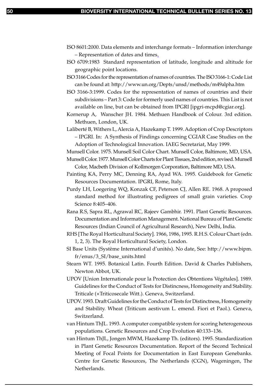- ISO 8601:2000. Data elements and interchange formats Information interchange – Representation of dates and times.
- ISO 6709:1983 Standard representation of latitude, longitude and altitude for geographic point locations.
- ISO 3166 Codes for the representation of names of countries. The ISO 3166-1: Code List can be found at: http://www.un.org/Depts/unsd/methods/m49alpha.htm
- ISO 3166-3:1999. Codes for the representation of names of countries and their subdivisions – Part 3: Code for formerly used names of countries. This List is not available on line, but can be obtained from IPGRI [ipgri-mcpd@cgiar.org].
- Kornerup A, Wanscher JH. 1984. Methuen Handbook of Colour. 3rd edition. Methuen, London, UK.
- Laliberté B, Withers L, Alercia A, Hazekamp T. 1999. Adoption of Crop Descriptors – IPGRI. In: A Synthesis of Findings concerning CGIAR Case Studies on the Adoption of Technological Innovation. IAEG Secretariat, May 1999.

Munsell Color. 1975. Munsell Soil Color Chart. Munsell Color, Baltimore, MD, USA.

- Munsell Color. 1977. Munsell Color Charts for Plant Tissues, 2nd edition, revised. Munsell Color, Macbeth Division of Kollmorgen Corporation, Baltimore MD, USA.
- Painting KA, Perry MC, Denning RA, Ayad WA. 1995. Guidebook for Genetic Resources Documentation. IPGRI, Rome, Italy.
- Purdy LH, Loegering WQ, Konzak CF, Peterson CJ, Allen RE. 1968. A proposed standard method for illustrating pedigrees of small grain varieties. Crop Science 8:405–406.
- Rana R.S, Sapra RL, Agrawal RC, Rajeev Gambhir. 1991. Plant Genetic Resources. Documentation and Information Management. National Bureau of Plant Genetic Resources (Indian Council of Agricultural Research), New Delhi, India.
- RHS [The Royal Horticultural Society]. 1966, 1986, 1995. R.H.S. Colour Chart (edn. 1, 2, 3). The Royal Horticultural Society, London.
- SI Base Units (Système International d'unités). No date, See: http://www.bipm. fr/enus/3\_SI/base\_units.html
- Stearn WT. 1995. Botanical Latin. Fourth Edition. David & Charles Publishers, Newton Abbot, UK.
- UPOV [Union Internationale pour la Protection des Obtentions Végétales]. 1989. Guidelines for the Conduct of Tests for Distincness, Homogeneity and Stability. Triticale (×Triticosecale Witt.). Geneva, Switzerland.
- UPOV. 1993. Draft Guidelines for the Conduct of Tests for Distinctness, Homogeneity and Stability. Wheat (Triticum aestivum L. emend. Fiori et Paol.). Geneva, Switzerland.
- van Hintum ThJL. 1993. A computer compatible system for scoring heterogeneous populations. Genetic Resources and Crop Evolution 40:133–136.
- van Hintum ThJL, Jongen MWM, Hazekamp Th. (editors). 1995. Standardization in Plant Genetic Resources Documentation. Report of the Second Technical Meeting of Focal Points for Documentation in East European Genebanks. Centre for Genetic Resources, The Netherlands (CGN), Wageningen, The Netherlands.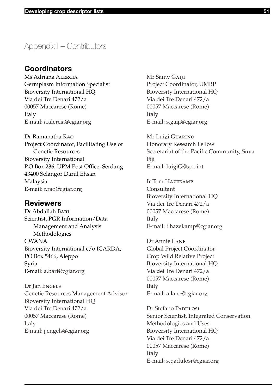# Appendix I – Contributors

### **Coordinators**

Ms Adriana Alercia Germplasm Information Specialist Bioversity International HQ Via dei Tre Denari 472/a 00057 Maccarese (Rome) Italy E-mail: a.alercia@cgiar.org

Dr Ramanatha Rao Project Coordinator, Facilitating Use of Genetic Resources Bioversity International P.O.Box 236, UPM Post Office, Serdang 43400 Selangor Darul Ehsan Malaysia E-mail: r.rao@cgiar.org

#### **Reviewers**

Dr Abdallah Bari Scientist, PGR Information/Data Management and Analysis Methodologies CWANA Bioversity International c/o ICARDA, PO Box 5466, Aleppo Syria E-mail: a.bari@cgiar.org

Dr Jan Engels Genetic Resources Management Advisor Bioversity International HQ Via dei Tre Denari 472/a 00057 Maccarese (Rome) Italy E-mail: j.engels@cgiar.org

Mr Samy Gaiji Project Coordinator, UMBP Bioversity International HQ Via dei Tre Denari 472/a 00057 Maccarese (Rome) Italy E-mail: s.gaiji@cgiar.org

Mr Luigi Guarino Honorary Research Fellow Secretariat of the Pacific Community, Suva Fiji E-mail: luigiG@spc.int

Ir Tom Hazekamp Consultant Bioversity International HQ Via dei Tre Denari 472/a 00057 Maccarese (Rome) Italy E-mail: t.hazekamp@cgiar.org

Dr Annie Lane Global Project Coordinator Crop Wild Relative Project Bioversity International HQ Via dei Tre Denari 472/a 00057 Maccarese (Rome) Italy E-mail: a.lane@cgiar.org

Dr Stefano Papulosi Senior Scientist, Integrated Conservation Methodologies and Uses Bioversity International HQ Via dei Tre Denari 472/a 00057 Maccarese (Rome) Italy E-mail: s.padulosi@cgiar.org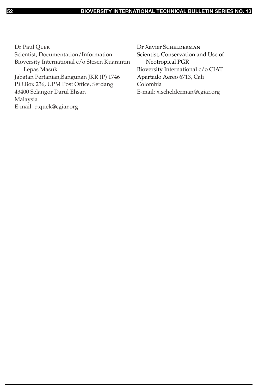Dr Paul Quek Scientist, Documentation/Information Bioversity International c/o Stesen Kuarantin Lepas Masuk Jabatan Pertanian,Bangunan JKR (P) 1746 P.O.Box 236, UPM Post Office, Serdang 43400 Selangor Darul Ehsan Malaysia E-mail: p.quek@cgiar.org

Dr Xavier Schelderman Scientist, Conservation and Use of Neotropical PGR Bioversity International c/o CIAT Apartado Aereo 6713, Cali Colombia E-mail: x.schelderman@cgiar.org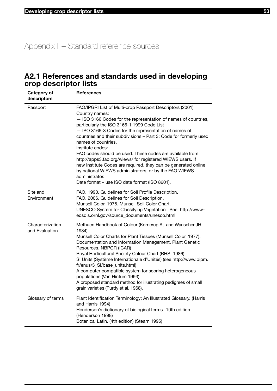# Appendix II – Standard reference sources

### A2.1 References and standards used in developing crop descriptor lists

| Category of<br>descriptors         | <b>References</b>                                                                                                                                                                                                                                                                                                                                                                                                                                                                                                                                                                                                                                                                           |
|------------------------------------|---------------------------------------------------------------------------------------------------------------------------------------------------------------------------------------------------------------------------------------------------------------------------------------------------------------------------------------------------------------------------------------------------------------------------------------------------------------------------------------------------------------------------------------------------------------------------------------------------------------------------------------------------------------------------------------------|
| Passport                           | FAO/IPGRI List of Multi-crop Passport Descriptors (2001)<br>Country names:<br>- ISO 3166 Codes for the representation of names of countries,<br>particularly the ISO 3166-1:1999 Code List<br>- ISO 3166-3 Codes for the representation of names of<br>countries and their subdivisions - Part 3: Code for formerly used<br>names of countries.<br>Institute codes:<br>FAO codes should be used. These codes are available from<br>http://apps3.fao.org/wiews/ for registered WIEWS users. If<br>new Institute Codes are required, they can be generated online<br>by national WIEWS administrators, or by the FAO WIEWS<br>administrator.<br>Date format – use ISO date format (ISO 8601). |
| Site and<br>Environment            | FAO. 1990. Guidelines for Soil Profile Description.<br>FAO. 2006. Guidelines for Soil Description.<br>Munsell Color, 1975. Munsell Soil Color Chart.<br>UNESCO System for Classifying Vegetation See: http://www-<br>eosdis.ornl.gov/source_documents/unesco.html                                                                                                                                                                                                                                                                                                                                                                                                                           |
| Characterization<br>and Evaluation | Methuen Handbook of Colour (Kornerup A, and Wanscher JH.<br>1984)<br>Munsell Color Charts for Plant Tissues (Munsell Color, 1977).<br>Documentation and Information Management. Plant Genetic<br>Resources. NBPGR (ICAR)<br>Royal Horticultural Society Colour Chart (RHS, 1986)<br>SI Units (Système Internationale d'Unités) (see http://www.bipm.<br>fr/enus/3_SI/base_units.html)<br>A computer compatible system for scoring heterogeneous<br>populations (Van Hintum 1993).<br>A proposed standard method for illustrating pedigrees of small<br>grain varieties (Purdy et al. 1968).                                                                                                 |
| Glossary of terms                  | Plant Identification Terminology; An Illustrated Glossary. (Harris<br>and Harris 1994)<br>Henderson's dictionary of biological terms- 10th edition.<br>(Henderson 1998)<br>Botanical Latin. (4th edition) (Stearn 1995)                                                                                                                                                                                                                                                                                                                                                                                                                                                                     |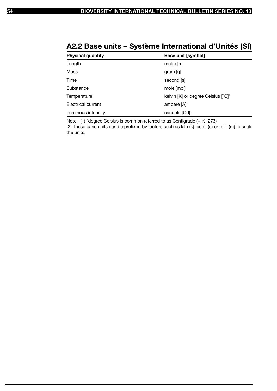| <b>Physical quantity</b> | Base unit [symbol]                 |  |
|--------------------------|------------------------------------|--|
| Length                   | metre [m]                          |  |
| Mass                     | gram [g]                           |  |
| Time                     | second [s]                         |  |
| Substance                | mole [mol]                         |  |
| Temperature              | kelvin [K] or degree Celsius [°C]* |  |
| Electrical current       | ampere [A]                         |  |
| Luminous intensity       | candela [Cd]                       |  |

# A2.2 Base units – Système International d'Unités (SI)

Note: (1) \*degree Celsius is common referred to as Centigrade (= K -273)

(2) These base units can be prefixed by factors such as kilo (k), centi (c) or milli (m) to scale the units.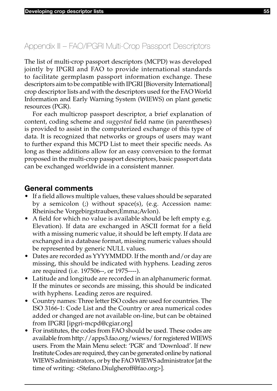# Appendix III – FAO/IPGRI Multi-Crop Passport Descriptors

The list of multi-crop passport descriptors (MCPD) was developed jointly by IPGRI and FAO to provide international standards to facilitate germplasm passport information exchange. These descriptors aim to be compatible with IPGRI [Bioversity International] crop descriptor lists and with the descriptors used for the FAO World Information and Early Warning System (WIEWS) on plant genetic resources (PGR).

For each multicrop passport descriptor, a brief explanation of content, coding scheme and *suggested* field name (in parentheses) is provided to assist in the computerized exchange of this type of data. It is recognized that networks or groups of users may want to further expand this MCPD List to meet their specific needs. As long as these additions allow for an easy conversion to the format proposed in the multi-crop passport descriptors, basic passport data can be exchanged worldwide in a consistent manner.

### General comments

- If a field allows multiple values, these values should be separated by a semicolon (;) without space(s), (e.g. Accession name: Rheinische Vorgebirgstrauben;Emma;Avlon).
- A field for which no value is available should be left empty e.g. Elevation). If data are exchanged in ASCII format for a field with a missing numeric value, it should be left empty. If data are exchanged in a database format, missing numeric values should be represented by generic NULL values.
- Dates are recorded as YYYYMMDD. If the month and/or day are missing, this should be indicated with hyphens. Leading zeros are required (i.e. 197506--, or 1975----).
- Latitude and longitude are recorded in an alphanumeric format. If the minutes or seconds are missing, this should be indicated with hyphens. Leading zeros are required.
- Country names: Three letter ISO codes are used for countries. The ISO 3166-1: Code List and the Country or area numerical codes added or changed are not available on-line, but can be obtained from IPGRI [ipgri-mcpd@cgiar.org]
- For institutes, the codes from FAO should be used. These codes are available from http://apps3.fao.org/wiews/ for registered WIEWS users. From the Main Menu select: 'PGR' and 'Download'. If new Institute Codes are required, they can be generated online by national WIEWS administrators, or by the FAO WIEWS administrator [at the time of writing: <Stefano.Diulgheroff@fao.org>].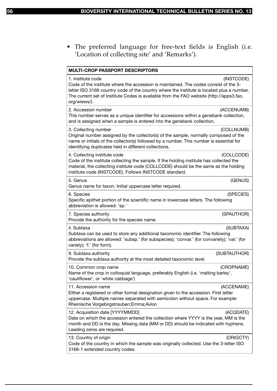• The preferred language for free-text fields is English (i.e. 'Location of collecting site' and 'Remarks').

| <b>MULTI-CROP PASSPORT DESCRIPTORS</b>                                                                                                                                                                                                                                                                                          |
|---------------------------------------------------------------------------------------------------------------------------------------------------------------------------------------------------------------------------------------------------------------------------------------------------------------------------------|
| 1. Institute code<br>(INSTCODE)<br>Code of the institute where the accession is maintained. The codes consist of the 3-<br>letter ISO 3166 country code of the country where the institute is located plus a number.<br>The current set of Institute Codes is available from the FAO website (http://apps3.fao.<br>org/wiews/). |
| 2. Accession number<br>(ACCENUMB)<br>This number serves as a unique identifier for accessions within a genebank collection,<br>and is assigned when a sample is entered into the genebank collection.                                                                                                                           |
| 3. Collecting number<br>(COLLNUMB)<br>Original number assigned by the collector(s) of the sample, normally composed of the<br>name or initials of the collector(s) followed by a number. This number is essential for<br>identifying duplicates held in different collections.                                                  |
| (COLLCODE)<br>4. Collecting institute code<br>Code of the institute collecting the sample. If the holding institute has collected the<br>material, the collecting institute code (COLLCODE) should be the same as the holding<br>institute code (INSTCODE). Follows INSTCODE standard.                                          |
| 5. Genus<br>(GENUS)<br>Genus name for taxon. Initial uppercase letter required.                                                                                                                                                                                                                                                 |
| 6. Species<br>(SPECIES)<br>Specific epithet portion of the scientific name in lowercase letters. The following<br>abbreviation is allowed: 'sp.'                                                                                                                                                                                |
| (SPAUTHOR)<br>7. Species authority<br>Provide the authority for the species name.                                                                                                                                                                                                                                               |
| 8. Subtaxa<br>(SUBTAXA)<br>Subtaxa can be used to store any additional taxonomic identifier. The following<br>abbreviations are allowed: 'subsp.' (for subspecies); 'convar.' (for convariety); 'var.' (for<br>variety); 'f.' (for form).                                                                                       |
| (SUBTAUTHOR)<br>9. Subtaxa authority<br>Provide the subtaxa authority at the most detailed taxonomic level.                                                                                                                                                                                                                     |
| (CROPNAME)<br>10. Common crop name<br>Name of the crop in colloquial language, preferably English (i.e. 'malting barley',<br>'cauliflower', or 'white cabbage')                                                                                                                                                                 |
| 11. Accession name<br>(ACCENAME)<br>Either a registered or other formal designation given to the accession. First letter<br>uppercase. Multiple names separated with semicolon without space. For example:<br>Rheinische Vorgebirgstrauben; Emma; Avlon                                                                         |
| 12. Acquisition date [YYYYMMDD]<br>(ACQDATE)<br>Date on which the accession entered the collection where YYYY is the year, MM is the<br>month and DD is the day. Missing data (MM or DD) should be indicated with hyphens.<br>Leading zeros are required.                                                                       |
| 13. Country of origin<br>(ORIGCTY)<br>Code of the country in which the sample was originally collected. Use the 3-letter ISO                                                                                                                                                                                                    |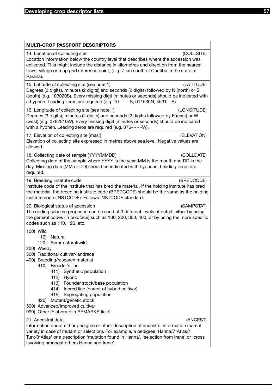| <b>MULTI-CROP PASSPORT DESCRIPTORS</b>                                                                                                                                                                                                                                                                                                                                                                                                                    |
|-----------------------------------------------------------------------------------------------------------------------------------------------------------------------------------------------------------------------------------------------------------------------------------------------------------------------------------------------------------------------------------------------------------------------------------------------------------|
| 14. Location of collecting site<br>(COLLSITE)<br>Location information below the country level that describes where the accession was<br>collected. This might include the distance in kilometres and direction from the nearest<br>town, village or map grid reference point, (e.g. 7 km south of Curitiba in the state of<br>Parana).                                                                                                                    |
| (LATITUDE)<br>15. Latitude of collecting site (see note 1)<br>Degrees (2 digits), minutes (2 digits) and seconds (2 digits) followed by N (north) or S<br>(south) (e.g. 103020S). Every missing digit (minutes or seconds) should be indicated with<br>a hyphen. Leading zeros are required (e.g. 10- - - - S; 011530N; 4531--S).                                                                                                                         |
| 16. Longitude of collecting site (see note 1)<br>(LONGITUDE)<br>Degrees (3 digits), minutes (2 digits) and seconds (2 digits) followed by E (east) or W<br>(west) (e.g. 0762510W). Every missing digit (minutes or seconds) should be indicated<br>with a hyphen. Leading zeros are required (e.g. 076- - - - W).                                                                                                                                         |
| 17. Elevation of collecting site [masl]<br>(ELEVATION)<br>Elevation of collecting site expressed in metres above sea level. Negative values are<br>allowed.                                                                                                                                                                                                                                                                                               |
| 18. Collecting date of sample [YYYYMMDD]<br>(COLLDATE)<br>Collecting date of the sample where YYYY is the year, MM is the month and DD is the<br>day. Missing data (MM or DD) should be indicated with hyphens. Leading zeros are<br>required.                                                                                                                                                                                                            |
| 19. Breeding institute code<br>(BREDCODE)<br>Institute code of the institute that has bred the material. If the holding institute has bred<br>the material, the breeding institute code (BREDCODE) should be the same as the holding<br>institute code (INSTCODE). Follows INSTCODE standard.                                                                                                                                                             |
| 20. Biological status of accession<br>(SAMPSTAT)<br>The coding scheme proposed can be used at 3 different levels of detail: either by using<br>the general codes (in boldface) such as 100, 200, 300, 400, or by using the more specific<br>codes such as 110, 120, etc.                                                                                                                                                                                  |
| 100) Wild<br>110)<br>Natural<br>Semi-natural/wild<br>120)<br>200) Weedy<br>300) Traditional cultivar/landrace<br>400) Breeding/research material<br>410) Breeder's line<br>411) Synthetic population<br>412) Hybrid<br>413) Founder stock/base population<br>Inbred line (parent of hybrid cultivar)<br>414)<br>Segregating population<br>415)<br>420) Mutant/genetic stock<br>500) Advanced/improved cultivar<br>999) Other (Elaborate in REMARKS field) |
| 21. Ancestral data<br>(ANCEST)<br>Information about either pedigree or other description of ancestral information (parent<br>variety in case of mutant or selection). For example, a pedigree 'Hanna/7*Atlas//<br>Turk/8*Atlas' or a description 'mutation found in Hanna', 'selection from Irene' or 'cross<br>involving amongst others Hanna and Irene'.                                                                                                |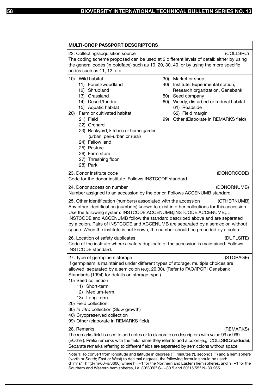| <b>MULTI-CROP PASSPORT DESCRIPTORS</b>                                                                                                                                                                                                                                                                                                                                                                                                                                                                                |                                                                                                                                                                                                                                                 |  |  |
|-----------------------------------------------------------------------------------------------------------------------------------------------------------------------------------------------------------------------------------------------------------------------------------------------------------------------------------------------------------------------------------------------------------------------------------------------------------------------------------------------------------------------|-------------------------------------------------------------------------------------------------------------------------------------------------------------------------------------------------------------------------------------------------|--|--|
| 22. Collecting/acquisition source<br>(COLLSRC)<br>The coding scheme proposed can be used at 2 different levels of detail: either by using<br>the general codes (in boldface) such as 10, 20, 30, 40, or by using the more specific<br>codes such as 11, 12, etc.                                                                                                                                                                                                                                                      |                                                                                                                                                                                                                                                 |  |  |
| 10) Wild habitat<br>11) Forest/woodland<br>12) Shrubland<br>13) Grassland<br>14) Desert/tundra<br>15) Aquatic habitat<br>20) Farm or cultivated habitat<br>21) Field<br>22) Orchard<br>23) Backyard, kitchen or home garden<br>(urban, peri-urban or rural)<br>24) Fallow land<br>25) Pasture<br>26) Farm store<br>27) Threshing floor<br>28) Park                                                                                                                                                                    | Market or shop<br>30) -<br>40) Institute, Experimental station,<br>Research organization, Genebank<br>50) Seed company<br>60) Weedy, disturbed or ruderal habitat<br>61) Roadside<br>62) Field margin<br>99) Other (Elaborate in REMARKS field) |  |  |
| 23. Donor institute code<br>Code for the donor institute. Follows INSTCODE standard.                                                                                                                                                                                                                                                                                                                                                                                                                                  | (DONORCODE)                                                                                                                                                                                                                                     |  |  |
| 24. Donor accession number<br>Number assigned to an accession by the donor. Follows ACCENUMB standard.                                                                                                                                                                                                                                                                                                                                                                                                                | (DONORNUMB)                                                                                                                                                                                                                                     |  |  |
| 25. Other identification (numbers) associated with the accession<br>(OTHERNUMB)<br>Any other identification (numbers) known to exist in other collections for this accession.<br>Use the following system: INSTCODE:ACCENUMB;INSTCODE:ACCENUMB;<br>INSTCODE and ACCENUMB follow the standard described above and are separated<br>by a colon. Pairs of INSTCODE and ACCENUMB are separated by a semicolon without<br>space. When the institute is not known, the number should be preceded by a colon.                |                                                                                                                                                                                                                                                 |  |  |
| 26. Location of safety duplicates<br>(DUPLSITE)<br>Code of the institute where a safety duplicate of the accession is maintained. Follows<br><b>INSTCODE</b> standard.                                                                                                                                                                                                                                                                                                                                                |                                                                                                                                                                                                                                                 |  |  |
| 27. Type of germplasm storage<br>(STORAGE)<br>If germplasm is maintained under different types of storage, multiple choices are<br>allowed, separated by a semicolon (e.g. 20;30). (Refer to FAO/IPGRI Genebank<br>Standards (1994) for details on storage type.)<br>10) Seed collection<br>11) Short-term<br>12) Medium-term<br>13) Long-term<br>20) Field collection<br>30) In vitro collection (Slow growth)<br>40) Cryopreserved collection<br>99) Other (elaborate in REMARKS field)<br>28. Remarks<br>(REMARKS) |                                                                                                                                                                                                                                                 |  |  |
| The remarks field is used to add notes or to elaborate on descriptors with value 99 or 999<br>(=Other). Prefix remarks with the field name they refer to and a colon (e.g. COLLSRC:roadside).<br>Separate remarks referring to different fields are separated by semicolons without space.                                                                                                                                                                                                                            |                                                                                                                                                                                                                                                 |  |  |
| Note 1: To convert from longitude and latitude in degrees (°), minutes ('), seconds ('') and a hemisphere<br>(North or South; East or West) to decimal degrees, the following formula should be used:<br>$d^{\circ}$ m' s"=h *(d+m/60+s/3600) where h= +1 for the Northern and Eastern hemispheres, and h= -1 for the                                                                                                                                                                                                 |                                                                                                                                                                                                                                                 |  |  |

Southern and Western hemispheres, i.e. 30°30'0" S= -30.5 and 30°15'55" N=30.265.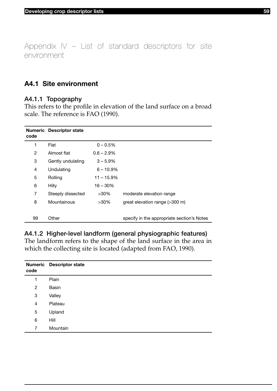Appendix  $\mathbb{V}$  – List of standard descriptors for site environment

### A4.1 Site environment

#### A4.1.1 Topography

This refers to the profile in elevation of the land surface on a broad scale. The reference is FAO (1990).

| code           | <b>Numeric</b> Descriptor state |               |                                            |
|----------------|---------------------------------|---------------|--------------------------------------------|
| 1              | Flat                            | $0 - 0.5%$    |                                            |
| $\overline{2}$ | Almost flat                     | $0.6 - 2.9\%$ |                                            |
| 3              | Gently undulating               | $3 - 5.9\%$   |                                            |
| 4              | Undulating                      | $6 - 10.9\%$  |                                            |
| 5              | Rolling                         | 11 – 15.9%    |                                            |
| 6              | Hilly                           | 16 – 30%      |                                            |
| 7              | Steeply dissected               | $>30\%$       | moderate elevation range                   |
| 8              | Mountainous                     | $>30\%$       | great elevation range (>300 m)             |
|                |                                 |               |                                            |
| 99             | Other                           |               | specify in the appropriate section's Notes |

### A4.1.2 Higher-level landform (general physiographic features)

The landform refers to the shape of the land surface in the area in which the collecting site is located (adapted from FAO, 1990).

| code           | Numeric Descriptor state |
|----------------|--------------------------|
| 1              | Plain                    |
| $\overline{2}$ | Basin                    |
| 3              | Valley                   |
| $\overline{4}$ | Plateau                  |
| 5              | Upland                   |
| 6              | Hill                     |
| 7              | Mountain                 |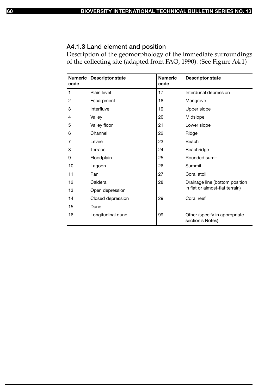### A4.1.3 Land element and position

Description of the geomorphology of the immediate surroundings of the collecting site (adapted from FAO, 1990). (See Figure A4.1)

| code | <b>Numeric</b> Descriptor state | <b>Numeric</b><br>code | <b>Descriptor state</b>                           |
|------|---------------------------------|------------------------|---------------------------------------------------|
| 1    | Plain level                     | 17                     | Interdunal depression                             |
| 2    | Escarpment                      | 18                     | Mangrove                                          |
| 3    | Interfluve                      | 19                     | Upper slope                                       |
| 4    | Valley                          | 20                     | Midslope                                          |
| 5    | Valley floor                    | 21                     | Lower slope                                       |
| 6    | Channel                         | 22                     | Ridge                                             |
| 7    | Levee                           | 23                     | Beach                                             |
| 8    | Terrace                         | 24                     | Beachridge                                        |
| 9    | Floodplain                      | 25                     | Rounded sumit                                     |
| 10   | Lagoon                          | 26                     | Summit                                            |
| 11   | Pan                             | 27                     | Coral atoll                                       |
| 12   | Caldera                         | 28                     | Drainage line (bottom position                    |
| 13   | Open depression                 |                        | in flat or almost-flat terrain)                   |
| 14   | Closed depression               | 29                     | Coral reef                                        |
| 15   | Dune                            |                        |                                                   |
| 16   | Longitudinal dune               | 99                     | Other (specify in appropriate<br>section's Notes) |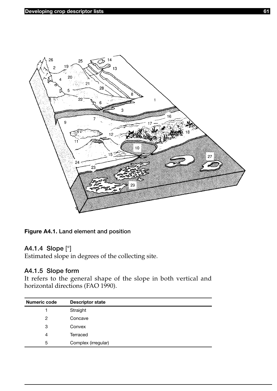

# Figure A4.1. Land element and position

# A4.1.4 Slope [°]

Estimated slope in degrees of the collecting site.

# A4.1.5 Slope form

It refers to the general shape of the slope in both vertical and horizontal directions (FAO 1990).

| Numeric code | <b>Descriptor state</b> |
|--------------|-------------------------|
|              | Straight                |
| 2            | Concave                 |
| 3            | Convex                  |
| 4            | Terraced                |
| 5            | Complex (irregular)     |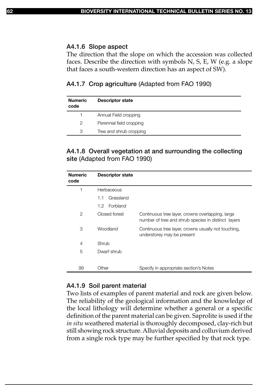#### A4.1.6 Slope aspect

The direction that the slope on which the accession was collected faces. Describe the direction with symbols N, S, E, W (e.g. a slope that faces a south-western direction has an aspect of SW).

#### A4.1.7 Crop agriculture (Adapted from FAO 1990)

| <b>Numeric</b><br>code | <b>Descriptor state</b>  |
|------------------------|--------------------------|
|                        | Annual Field cropping    |
| 2                      | Perennial field cropping |
| 3                      | Tree and shrub cropping  |

# A4.1.8 Overall vegetation at and surrounding the collecting site (Adapted from FAO 1990)

| <b>Numeric</b><br>code | <b>Descriptor state</b>   |                                                                                                         |
|------------------------|---------------------------|---------------------------------------------------------------------------------------------------------|
| 1                      | Herbaceous                |                                                                                                         |
|                        | Grassland<br>1.1          |                                                                                                         |
|                        | Forbland<br>$1.2^{\circ}$ |                                                                                                         |
| 2                      | Closed forest             | Continuous tree layer, crowns overlapping, large<br>number of tree and shrub species in distinct layers |
| 3                      | Woodland                  | Continuous tree layer, crowns usually not touching,<br>understorey may be present                       |
| 4                      | Shrub                     |                                                                                                         |
| 5                      | Dwarf shrub               |                                                                                                         |
|                        |                           |                                                                                                         |
| 99                     | Other                     | Specify in appropriate section's Notes                                                                  |

## A4.1.9 Soil parent material

Two lists of examples of parent material and rock are given below. The reliability of the geological information and the knowledge of the local lithology will determine whether a general or a specific definition of the parent material can be given. Saprolite is used if the *in situ* weathered material is thoroughly decomposed, clay-rich but still showing rock structure. Alluvial deposits and colluvium derived from a single rock type may be further specified by that rock type.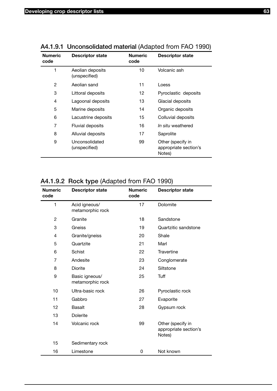| <b>Numeric</b><br>code | <b>Descriptor state</b>           | <b>Numeric</b><br>code | <b>Descriptor state</b>                              |
|------------------------|-----------------------------------|------------------------|------------------------------------------------------|
| 1                      | Aeolian deposits<br>(unspecified) | 10                     | Volcanic ash                                         |
| 2                      | Aeolian sand                      | 11                     | Loess                                                |
| 3                      | Littoral deposits                 | 12                     | Pyroclastic deposits                                 |
| 4                      | Lagoonal deposits                 | 13                     | Glacial deposits                                     |
| 5                      | Marine deposits                   | 14                     | Organic deposits                                     |
| 6                      | Lacustrine deposits               | 15                     | Colluvial deposits                                   |
| 7                      | <b>Fluvial deposits</b>           | 16                     | In situ weathered                                    |
| 8                      | Alluvial deposits                 | 17                     | Saprolite                                            |
| 9                      | Unconsolidated<br>(unspecified)   | 99                     | Other (specify in<br>appropriate section's<br>Notes) |

A4.1.9.1 Unconsolidated material (Adapted from FAO 1990)

| <b>Numeric</b><br>code | <b>Descriptor state</b>            | <b>Numeric</b><br>code | <b>Descriptor state</b>                              |
|------------------------|------------------------------------|------------------------|------------------------------------------------------|
| 1                      | Acid igneous/<br>metamorphic rock  | 17                     | Dolomite                                             |
| $\overline{2}$         | Granite                            | 18                     | Sandstone                                            |
| 3                      | Gneiss                             | 19                     | Quartzitic sandstone                                 |
| 4                      | Granite/gneiss                     | 20                     | Shale                                                |
| 5                      | Quartzite                          | 21                     | Marl                                                 |
| 6                      | Schist                             | 22                     | Travertine                                           |
| 7                      | Andesite                           | 23                     | Conglomerate                                         |
| 8                      | Diorite                            | 24                     | Siltstone                                            |
| 9                      | Basic igneous/<br>metamorphic rock | 25                     | Tuff                                                 |
| 10                     | Ultra-basic rock                   | 26                     | Pyroclastic rock                                     |
| 11                     | Gabbro                             | 27                     | Evaporite                                            |
| 12                     | <b>Basalt</b>                      | 28                     | Gypsum rock                                          |
| 13                     | <b>Dolerite</b>                    |                        |                                                      |
| 14                     | Volcanic rock                      | 99                     | Other (specify in<br>appropriate section's<br>Notes) |
| 15                     | Sedimentary rock                   |                        |                                                      |
| 16                     | Limestone                          | 0                      | Not known                                            |

# A4.1.9.2 Rock type (Adapted from FAO 1990)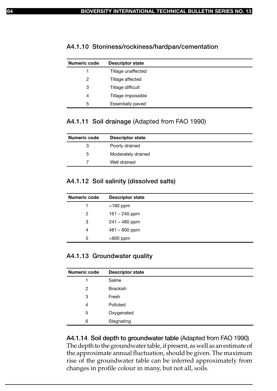| Numeric code | <b>Descriptor state</b>  |
|--------------|--------------------------|
|              | Tillage unaffected       |
| 2            | Tillage affected         |
| 3            | Tillage difficult        |
| 4            | Tillage impossible       |
| 5            | <b>Essentially paved</b> |

## A4.1.10 Stoniness/rockiness/hardpan/cementation

## A4.1.11 Soil drainage (Adapted from FAO 1990)

| Numeric code | <b>Descriptor state</b> |
|--------------|-------------------------|
| 3            | Poorly drained          |
| 5            | Moderately drained      |
|              | Well drained            |

## A4.1.12 Soil salinity (dissolved salts)

| Numeric code | <b>Descriptor state</b> |
|--------------|-------------------------|
|              | $<$ 160 ppm             |
| 2            | $161 - 240$ ppm         |
| 3            | $241 - 480$ ppm         |
| 4            | $481 - 800$ ppm         |
| 5            | $>800$ ppm              |

## A4.1.13 Groundwater quality

| Numeric code | <b>Descriptor state</b> |
|--------------|-------------------------|
|              | Saline                  |
| 2            | <b>Brackish</b>         |
| 3            | Fresh                   |
| 4            | Polluted                |
| 5            | Oxygenated              |
| 6            | Stagnating              |

A4.1.14 Soil depth to groundwater table (Adapted from FAO 1990) The depth to the groundwater table, if present, as well as an estimate of the approximate annual fluctuation, should be given. The maximum rise of the groundwater table can be inferred approximately from changes in profile colour in many, but not all, soils.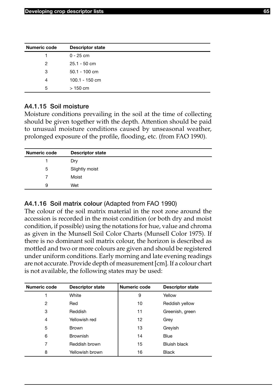| Numeric code | <b>Descriptor state</b> |
|--------------|-------------------------|
|              | $0 - 25$ cm             |
| 2            | $25.1 - 50$ cm          |
| 3            | $50.1 - 100$ cm         |
| 4            | $100.1 - 150$ cm        |
| 5            | $>150$ cm               |

#### A4.1.15 Soil moisture

Moisture conditions prevailing in the soil at the time of collecting should be given together with the depth. Attention should be paid to unusual moisture conditions caused by unseasonal weather, prolonged exposure of the profile, flooding, etc. (from FAO 1990).

| Numeric code | <b>Descriptor state</b> |
|--------------|-------------------------|
|              | Dry                     |
| 5            | Slightly moist          |
|              | Moist                   |
| 9            | Wet                     |

## A4.1.16 Soil matrix colour (Adapted from FAO 1990)

The colour of the soil matrix material in the root zone around the accession is recorded in the moist condition (or both dry and moist condition, if possible) using the notations for hue, value and chroma as given in the Munsell Soil Color Charts (Munsell Color 1975). If there is no dominant soil matrix colour, the horizon is described as mottled and two or more colours are given and should be registered under uniform conditions. Early morning and late evening readings are not accurate. Provide depth of measurement [cm]. If a colour chart is not available, the following states may be used:

| Numeric code | <b>Descriptor state</b> | Numeric code | <b>Descriptor state</b> |
|--------------|-------------------------|--------------|-------------------------|
| 1            | White                   | 9            | Yellow                  |
| 2            | Red                     | 10           | Reddish yellow          |
| 3            | Reddish                 | 11           | Greenish, green         |
| 4            | Yellowish red           | 12           | Grey                    |
| 5            | <b>Brown</b>            | 13           | Greyish                 |
| 6            | <b>Brownish</b>         | 14           | Blue                    |
| 7            | Reddish brown           | 15           | <b>Bluish black</b>     |
| 8            | Yellowish brown         | 16           | <b>Black</b>            |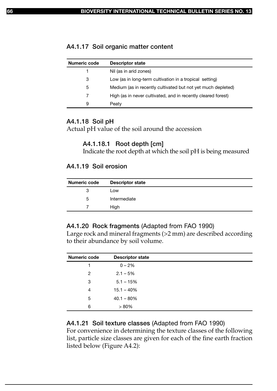| Numeric code | <b>Descriptor state</b>                                       |
|--------------|---------------------------------------------------------------|
|              | Nil (as in arid zones)                                        |
| 3            | Low (as in long-term cultivation in a tropical setting)       |
| 5            | Medium (as in recently cultivated but not yet much depleted)  |
|              | High (as in never cultivated, and in recently cleared forest) |
| 9            | Peaty                                                         |

|  |  |  |  | A4.1.17 Soil organic matter content |
|--|--|--|--|-------------------------------------|
|--|--|--|--|-------------------------------------|

#### A4.1.18 Soil pH

Actual pH value of the soil around the accession

## A4.1.18.1 Root depth [cm]

Indicate the root depth at which the soil pH is being measured

#### A4.1.19 Soil erosion

| Numeric code | <b>Descriptor state</b> |
|--------------|-------------------------|
| З            | Low                     |
| 5            | Intermediate            |
|              | High                    |

#### A4.1.20 Rock fragments (Adapted from FAO 1990)

Large rock and mineral fragments (>2 mm) are described according to their abundance by soil volume.

| Numeric code | <b>Descriptor state</b> |  |
|--------------|-------------------------|--|
| 1            | $0 - 2%$                |  |
| 2            | $2.1 - 5%$              |  |
| 3            | $5.1 - 15%$             |  |
| 4            | $15.1 - 40%$            |  |
| 5            | $40.1 - 80\%$           |  |
| 6            | >80%                    |  |

## A4.1.21 Soil texture classes (Adapted from FAO 1990)

For convenience in determining the texture classes of the following list, particle size classes are given for each of the fine earth fraction listed below (Figure A4.2):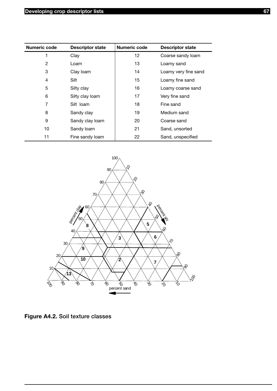| Numeric code | <b>Descriptor state</b> | Numeric code | <b>Descriptor state</b> |
|--------------|-------------------------|--------------|-------------------------|
| 1            | Clay                    | 12           | Coarse sandy loam       |
| 2            | Loam                    | 13           | Loamy sand              |
| 3            | Clay Ioam               | 14           | Loamy very fine sand    |
| 4            | Silt                    | 15           | Loamy fine sand         |
| 5            | Silty clay              | 16           | Loamy coarse sand       |
| 6            | Silty clay loam         | 17           | Very fine sand          |
| 7            | Silt Ioam               | 18           | Fine sand               |
| 8            | Sandy clay              | 19           | Medium sand             |
| 9            | Sandy clay loam         | 20           | Coarse sand             |
| 10           | Sandy loam              | 21           | Sand, unsorted          |
| 11           | Fine sandy loam         | 22           | Sand, unspecified       |



Figure A4.2. Soil texture classes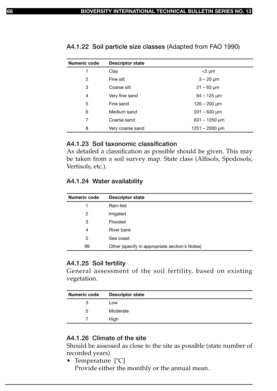| Numeric code | <b>Descriptor state</b> |                               |
|--------------|-------------------------|-------------------------------|
|              | Clay                    | $<$ 2 µm                      |
| 2            | Fine silt               | $3 - 20 \mu m$                |
| 3            | Coarse silt             | $21 - 63 \mu m$               |
| 4            | Very fine sand          | $64 - 125 \,\mathrm{\upmu m}$ |
| 5            | Fine sand               | $126 - 200 \,\mu m$           |
| 6            | Medium sand             | $201 - 630 \,\mu m$           |
| 7            | Coarse sand             | $631 - 1250$ µm               |
| 8            | Very coarse sand        | 1251 – 2000 µm                |

|  |  |  |  |  | A4.1.22 Soil particle size classes (Adapted from FAO 1990) |  |  |  |  |
|--|--|--|--|--|------------------------------------------------------------|--|--|--|--|
|--|--|--|--|--|------------------------------------------------------------|--|--|--|--|

#### A4.1.23 Soil taxonomic classification

As detailed a classification as possible should be given. This may be taken from a soil survey map. State class (Alfisols, Spodosols, Vertisols, etc.).

## A4.1.24 Water availability

| Numeric code | <b>Descriptor state</b>                        |
|--------------|------------------------------------------------|
|              | Rain-fed                                       |
| 2            | Irrigated                                      |
| 3            | Flooded                                        |
| 4            | River bank                                     |
| 5            | Sea coast                                      |
| 99           | Other (specify in appropriate section's Notes) |

## A4.1.25 Soil fertility

General assessment of the soil fertility, based on existing vegetation.

| Numeric code | <b>Descriptor state</b> |
|--------------|-------------------------|
|              | Low                     |
| 5            | Moderate                |
|              | High                    |
|              |                         |

## A4.1.26 Climate of the site

Should be assessed as close to the site as possible (state number of recorded years)

• Temperature [°C]

Provide either the monthly or the annual mean.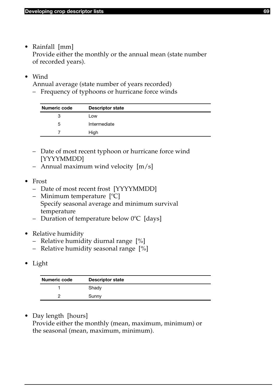• Rainfall [mm]

Provide either the monthly or the annual mean (state number of recorded years).

• Wind

Annual average (state number of years recorded)

– Frequency of typhoons or hurricane force winds

| Numeric code | <b>Descriptor state</b> |
|--------------|-------------------------|
| 3            | Low                     |
| 5            | Intermediate            |
|              | High                    |

- Date of most recent typhoon or hurricane force wind [YYYYMMDD]
- Annual maximum wind velocity [m/s]
- Frost
	- Date of most recent frost [YYYYMMDD]
	- Minimum temperature [ºC] Specify seasonal average and minimum survival temperature
	- Duration of temperature below 0ºC [days]
- Relative humidity
	- Relative humidity diurnal range [%]
	- Relative humidity seasonal range [%]
- Light

| Numeric code | <b>Descriptor state</b> |
|--------------|-------------------------|
|              | Shady                   |
|              | Sunny                   |

• Day length [hours]

Provide either the monthly (mean, maximum, minimum) or the seasonal (mean, maximum, minimum).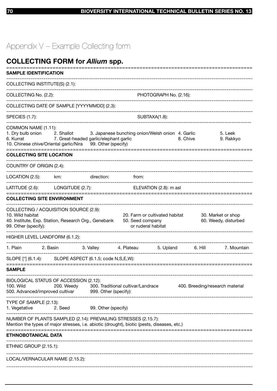# Appendix V - Example Collecting form

| <b>COLLECTING FORM for Allium spp.</b>                                                                                                                        |                  |                                                               |                                                  |                                                      |          |                                            |
|---------------------------------------------------------------------------------------------------------------------------------------------------------------|------------------|---------------------------------------------------------------|--------------------------------------------------|------------------------------------------------------|----------|--------------------------------------------|
| <b>SAMPLE IDENTIFICATION</b>                                                                                                                                  |                  |                                                               |                                                  |                                                      |          |                                            |
| COLLECTING INSTITUTE(S) (2.1):<br>___________________________________                                                                                         |                  |                                                               |                                                  |                                                      |          |                                            |
| COLLECTING No. (2.2):                                                                                                                                         |                  |                                                               |                                                  | PHOTOGRAPH No. (2.16):                               |          |                                            |
| COLLECTING DATE OF SAMPLE [YYYYMMDD] (2.3):                                                                                                                   |                  |                                                               |                                                  |                                                      |          |                                            |
| SPECIES (1.7):                                                                                                                                                |                  |                                                               |                                                  | SUBTAXA(1.8):                                        |          |                                            |
| COMMON NAME (1.11):<br>1. Dry bulb onion<br>6. Kurrat<br>10. Chinese chive/Oriental garlic/Nira<br>======================================                     | 2. Shallot       | 7. Great-headed garlic/elephant garlic<br>99. Other (specify) | 3. Japanese bunching onion/Welsh onion 4. Garlic |                                                      | 8. Chive | 5. Leek<br>9. Rakkyo                       |
| <b>COLLECTING SITE LOCATION</b>                                                                                                                               |                  |                                                               |                                                  |                                                      |          |                                            |
| COUNTRY OF ORIGIN (2.4):<br>-------------------------------                                                                                                   |                  |                                                               | _________________                                |                                                      |          |                                            |
| LOGATION (2.5):                                                                                                                                               | km:              | direction:                                                    | from:                                            |                                                      |          |                                            |
| LATITUDE (2.6):                                                                                                                                               | LONGITUDE (2.7): |                                                               |                                                  | ELEVATION (2.8): m asl                               |          |                                            |
| <b>COLLECTING SITE ENVIRONMENT</b>                                                                                                                            |                  |                                                               |                                                  |                                                      |          |                                            |
| COLLECTING / ACQUISITION SOURCE (2.9):<br>10. Wild habitat<br>40. Institute, Exp. Station, Research Org., Genebank<br>99. Other (specify):                    |                  |                                                               | 50. Seed company                                 | 20. Farm or cultivated habitat<br>or ruderal habitat |          | 30. Market or shop<br>60. Weedy, disturbed |
| HIGHER LEVEL LANDFORM (6.1.2):<br>--------------------------------------                                                                                      |                  |                                                               |                                                  |                                                      |          |                                            |
| 1. Plain                                                                                                                                                      | 2. Basin         | 3. Valley                                                     | 4. Plateau                                       | 5. Upland                                            | 6. Hill  | 7. Mountain                                |
| SLOPE [°] (6.1.4): SLOPE ASPECT (6.1.5; code N,S,E,W):                                                                                                        |                  |                                                               |                                                  |                                                      |          |                                            |
| <b>SAMPLE</b>                                                                                                                                                 |                  |                                                               |                                                  |                                                      |          |                                            |
| BIOLOGICAL STATUS OF ACCESSION (2.12):<br>100. Wild<br>500. Advanced/improved cultivar                                                                        | 200. Weedy       | 999. Other (specify):                                         | 300. Traditional cultivar/Landrace               |                                                      |          | 400. Breeding/research material            |
| TYPE OF SAMPLE (2.13):<br>1. Vegetative                                                                                                                       | 2. Seed          | 99. Other (specify)                                           |                                                  |                                                      |          |                                            |
| NUMBER OF PLANTS SAMPLED (2.14): PREVAILING STRESSES (2.15.7):<br>Mention the types of major stresses, i.e. abiotic (drought), biotic (pests, diseases, etc.) |                  |                                                               |                                                  |                                                      |          |                                            |
| ETHNOBOTANICAL DATA                                                                                                                                           |                  |                                                               |                                                  |                                                      |          |                                            |
| ETHNIC GROUP (2.15.1):                                                                                                                                        |                  |                                                               |                                                  |                                                      |          |                                            |
| LOCAL/VERNACULAR NAME (2.15.2):                                                                                                                               |                  |                                                               |                                                  |                                                      |          |                                            |
|                                                                                                                                                               |                  |                                                               |                                                  |                                                      |          |                                            |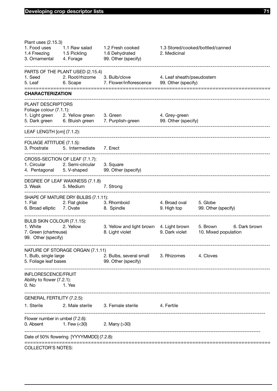| Plant uses (2.15.3)<br>1. Food uses<br>1.4 Freezing<br>3. Ornamental                   | 1.1 Raw salad<br>1.5 Pickling<br>4. Forage                       | 1.2 Fresh cooked<br>1.6 Dehydrated<br>99. Other (specify)   | 1.3 Stored/cooked/bottled/canned<br>2. Medicinal |                                                   |
|----------------------------------------------------------------------------------------|------------------------------------------------------------------|-------------------------------------------------------------|--------------------------------------------------|---------------------------------------------------|
| 1. Seed<br>5. Leaf                                                                     | PARTS OF THE PLANT USED (2.15.4)<br>2. Root/rhizome<br>6. Scape  | 3. Bulb/clove<br>7. Flower/inflorescence                    | 4. Leaf sheath/pseudostem<br>99. Other (specify) |                                                   |
| <b>CHARACTERIZATION</b>                                                                |                                                                  |                                                             |                                                  |                                                   |
| PLANT DESCRIPTORS<br>Foliage colour (7.1.1):<br>1. Light green 2. Yellow green         | 5. Dark green 6. Bluish green                                    | 3. Green<br>7. Purplish-green                               | 4. Grey-green<br>99. Other (specify)             |                                                   |
| LEAF LENGTH [cm] (7.1.2):                                                              |                                                                  |                                                             |                                                  |                                                   |
| FOLIAGE ATTITUDE (7.1.5):<br>3. Prostrate                                              | 5. Intermediate                                                  | 7. Erect                                                    |                                                  |                                                   |
| 1. Circular<br>4. Pentagonal 5. V-shaped                                               | CROSS-SECTION OF LEAF (7.1.7):<br>2. Semi-circular               | 3. Square<br>99. Other (specify)                            |                                                  |                                                   |
| 3. Weak                                                                                | DEGREE OF LEAF WAXINESS (7.1.8)<br>5. Medium                     | 7. Strong                                                   |                                                  |                                                   |
| 1. Flat<br>6. Broad elliptic                                                           | SHAPE OF MATURE DRY BULBS (7.1.11):<br>2. Flat globe<br>7. Ovate | 3. Rhomboid<br>8. Spindle                                   | 4. Broad oval<br>9. High top                     | 5. Globe<br>99. Other (specify)                   |
| BULB SKIN COLOUR (7.1.15):<br>1. White<br>7. Green (chartreuse)<br>99. Other (specify) | 2. Yellow                                                        | 3. Yellow and light brown 4. Light brown<br>8. Light violet | 9. Dark violet                                   | 5. Brown<br>6. Dark brown<br>10. Mixed population |
| 1. Bulb, single large<br>5. Foliage leaf bases                                         | NATURE OF STORAGE ORGAN (7.1.11)                                 | 2. Bulbs, several small<br>99. Other (specify)              | 3. Rhizomes                                      | 4. Cloves                                         |
| <b>INFLORESCENCE/FRUIT</b><br>Ability to flower (7.2.1):<br>0. No                      | 1. Yes                                                           |                                                             |                                                  |                                                   |
| GENERAL FERTILITY (7.2.5):                                                             |                                                                  |                                                             |                                                  |                                                   |
| 1. Sterile                                                                             | 2. Male sterile                                                  | 3. Female sterile                                           | 4. Fertile                                       |                                                   |
| Flower number in umbel (7.2.6):<br>0. Absent                                           | 1. Few (<30)                                                     | 2. Many $( >30)$                                            |                                                  |                                                   |
| Date of 50% flowering [YYYYMMDD] (7.2.8):                                              |                                                                  |                                                             |                                                  |                                                   |
| COLLECTOR'S NOTES:                                                                     |                                                                  |                                                             |                                                  |                                                   |